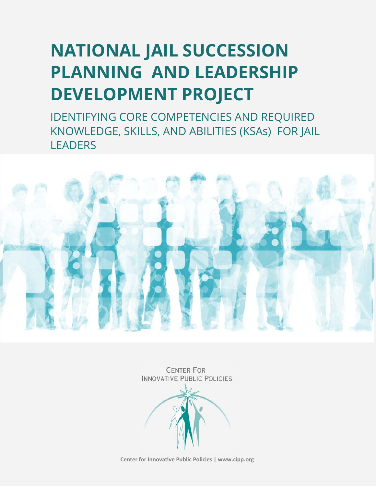# **NATIONAL JAIL SUCCESSION PLANNING AND LEADERSHIP DEVELOPMENT PROJECT**

IDENTIFYING CORE COMPETENCIES AND REQUIRED KNOWLEDGE, SKILLS, AND ABILITIES (KSAs) FOR JAIL **LEADERS** 



**CENTER FOR INNOVATIVE PUBLIC POLICIES** 

**Center for InnovaƟve Public Policies | www.cipp.org**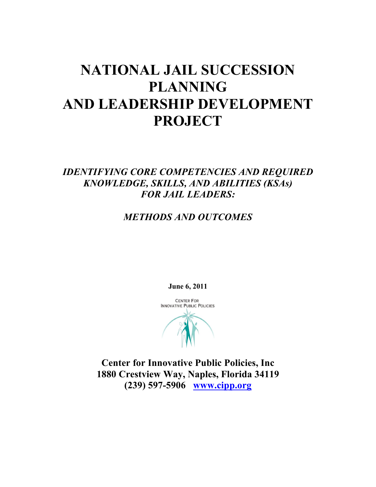## **NATIONAL JAIL SUCCESSION PLANNING AND LEADERSHIP DEVELOPMENT PROJECT**

## *IDENTIFYING CORE COMPETENCIES AND REQUIRED KNOWLEDGE, SKILLS, AND ABILITIES (KSAs) FOR JAIL LEADERS:*

## *METHODS AND OUTCOMES*

**June 6, 2011**

**CENTER FOR INNOVATIVE PUBLIC POLICIES** 

**Center for Innovative Public Policies, Inc 1880 Crestview Way, Naples, Florida 34119 (239) 597-5906 www.cipp.org**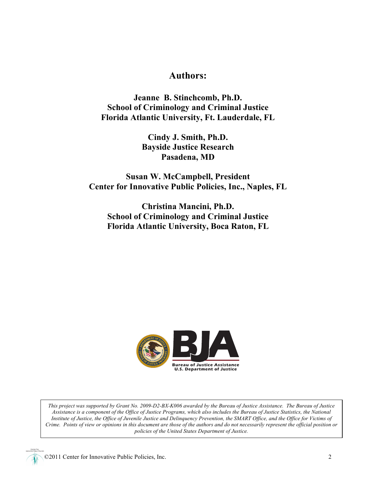## **Authors:**

**Jeanne B. Stinchcomb, Ph.D. School of Criminology and Criminal Justice Florida Atlantic University, Ft. Lauderdale, FL**

> **Cindy J. Smith, Ph.D. Bayside Justice Research Pasadena, MD**

**Susan W. McCampbell, President Center for Innovative Public Policies, Inc., Naples, FL**

**Christina Mancini, Ph.D. School of Criminology and Criminal Justice Florida Atlantic University, Boca Raton, FL**



*This project was supported by Grant No. 2009-D2-BX-K006 awarded by the Bureau of Justice Assistance. The Bureau of Justice Assistance is a component of the Office of Justice Programs, which also includes the Bureau of Justice Statistics, the National Institute of Justice, the Office of Juvenile Justice and Delinquency Prevention, the SMART Office, and the Office for Victims of Crime. Points of view or opinions in this document are those of the authors and do not necessarily represent the official position or policies of the United States Department of Justice.*

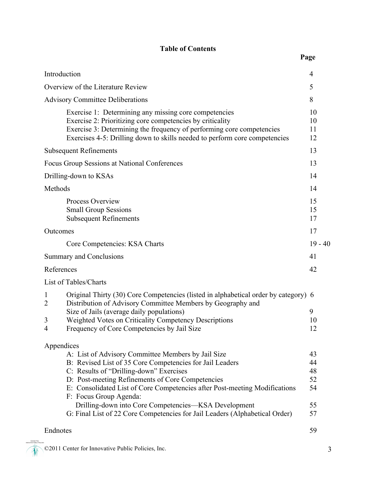### **Table of Contents**

|                                                                                                      | Introduction                                                                                                                                                                                                                                                              | 4                    |  |
|------------------------------------------------------------------------------------------------------|---------------------------------------------------------------------------------------------------------------------------------------------------------------------------------------------------------------------------------------------------------------------------|----------------------|--|
| Overview of the Literature Review<br>5                                                               |                                                                                                                                                                                                                                                                           |                      |  |
|                                                                                                      | <b>Advisory Committee Deliberations</b>                                                                                                                                                                                                                                   | 8                    |  |
|                                                                                                      | Exercise 1: Determining any missing core competencies<br>Exercise 2: Prioritizing core competencies by criticality<br>Exercise 3: Determining the frequency of performing core competencies<br>Exercises 4-5: Drilling down to skills needed to perform core competencies | 10<br>10<br>11<br>12 |  |
|                                                                                                      | <b>Subsequent Refinements</b>                                                                                                                                                                                                                                             | 13                   |  |
|                                                                                                      | Focus Group Sessions at National Conferences                                                                                                                                                                                                                              | 13                   |  |
|                                                                                                      | Drilling-down to KSAs                                                                                                                                                                                                                                                     | 14                   |  |
|                                                                                                      | Methods                                                                                                                                                                                                                                                                   | 14                   |  |
|                                                                                                      | Process Overview<br><b>Small Group Sessions</b><br><b>Subsequent Refinements</b>                                                                                                                                                                                          | 15<br>15<br>17       |  |
|                                                                                                      | Outcomes                                                                                                                                                                                                                                                                  | 17                   |  |
|                                                                                                      | Core Competencies: KSA Charts                                                                                                                                                                                                                                             | $19 - 40$            |  |
|                                                                                                      | Summary and Conclusions                                                                                                                                                                                                                                                   | 41                   |  |
|                                                                                                      | References                                                                                                                                                                                                                                                                | 42                   |  |
|                                                                                                      | List of Tables/Charts                                                                                                                                                                                                                                                     |                      |  |
|                                                                                                      | Original Thirty (30) Core Competencies (listed in alphabetical order by category) 6<br>1<br>Distribution of Advisory Committee Members by Geography and<br>2                                                                                                              |                      |  |
|                                                                                                      | Size of Jails (average daily populations)                                                                                                                                                                                                                                 | 9                    |  |
|                                                                                                      | Weighted Votes on Criticality Competency Descriptions<br>3<br>Frequency of Core Competencies by Jail Size<br>$\overline{4}$                                                                                                                                               | 10<br>12             |  |
|                                                                                                      | Appendices                                                                                                                                                                                                                                                                |                      |  |
|                                                                                                      | A: List of Advisory Committee Members by Jail Size                                                                                                                                                                                                                        | 43                   |  |
|                                                                                                      | B: Revised List of 35 Core Competencies for Jail Leaders                                                                                                                                                                                                                  | 44                   |  |
|                                                                                                      | C: Results of "Drilling-down" Exercises                                                                                                                                                                                                                                   | 48                   |  |
|                                                                                                      | D: Post-meeting Refinements of Core Competencies                                                                                                                                                                                                                          | 52<br>54             |  |
| E: Consolidated List of Core Competencies after Post-meeting Modifications<br>F: Focus Group Agenda: |                                                                                                                                                                                                                                                                           |                      |  |
| Drilling-down into Core Competencies—KSA Development                                                 |                                                                                                                                                                                                                                                                           |                      |  |
| G: Final List of 22 Core Competencies for Jail Leaders (Alphabetical Order)                          |                                                                                                                                                                                                                                                                           |                      |  |
|                                                                                                      | Endnotes                                                                                                                                                                                                                                                                  | 59                   |  |

©2011 Center for Innovative Public Policies, Inc. 3

TER FOR<br>PUBLIC POLICIES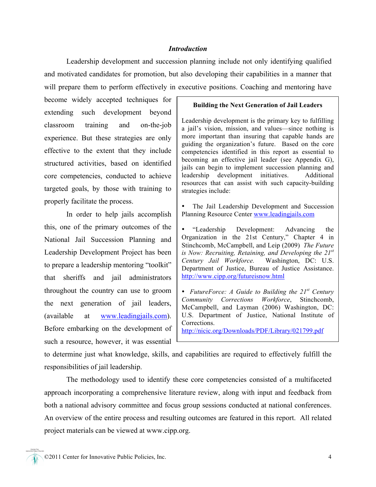#### *Introduction*

Leadership development and succession planning include not only identifying qualified and motivated candidates for promotion, but also developing their capabilities in a manner that will prepare them to perform effectively in executive positions. Coaching and mentoring have

become widely accepted techniques for extending such development beyond classroom training and on-the-job experience. But these strategies are only effective to the extent that they include structured activities, based on identified core competencies, conducted to achieve targeted goals, by those with training to properly facilitate the process.

In order to help jails accomplish this, one of the primary outcomes of the National Jail Succession Planning and Leadership Development Project has been to prepare a leadership mentoring "toolkit" that sheriffs and jail administrators throughout the country can use to groom the next generation of jail leaders, (available at www.leadingjails.com). Before embarking on the development of such a resource, however, it was essential

#### **Building the Next Generation of Jail Leaders**

Leadership development is the primary key to fulfilling a jail's vision, mission, and values—since nothing is more important than insuring that capable hands are guiding the organization's future. Based on the core competencies identified in this report as essential to becoming an effective jail leader (see Appendix G), jails can begin to implement succession planning and leadership development initiatives. Additional resources that can assist with such capacity-building strategies include:

The Jail Leadership Development and Succession Planning Resource Center www.leadingjails.com

• "Leadership Development: Advancing the Organization in the 21st Century," Chapter 4 in Stinchcomb, McCampbell, and Leip (2009) *The Future is Now: Recruiting, Retaining, and Developing the 21st Century Jail Workforce.* Washington, DC: U.S. Department of Justice, Bureau of Justice Assistance. http://www.cipp.org/futureisnow.html

• *FutureForce: A Guide to Building the 21st Century Community Corrections Workforce*, Stinchcomb, McCampbell, and Layman (2006) Washington, DC: U.S. Department of Justice, National Institute of Corrections.

http://nicic.org/Downloads/PDF/Library/021799.pdf

to determine just what knowledge, skills, and capabilities are required to effectively fulfill the responsibilities of jail leadership.

The methodology used to identify these core competencies consisted of a multifaceted approach incorporating a comprehensive literature review, along with input and feedback from both a national advisory committee and focus group sessions conducted at national conferences. An overview of the entire process and resulting outcomes are featured in this report. All related project materials can be viewed at www.cipp.org.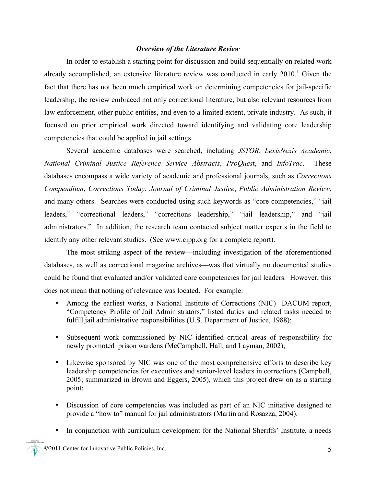#### *Overview of the Literature Review*

In order to establish a starting point for discussion and build sequentially on related work already accomplished, an extensive literature review was conducted in early  $2010$ .<sup>1</sup> Given the fact that there has not been much empirical work on determining competencies for jail-specific leadership, the review embraced not only correctional literature, but also relevant resources from law enforcement, other public entities, and even to a limited extent, private industry. As such, it focused on prior empirical work directed toward identifying and validating core leadership competencies that could be applied in jail settings.

Several academic databases were searched, including *JSTOR*, *LexisNexis Academic*, *National Criminal Justice Reference Service Abstracts*, *ProQues*t, and *InfoTrac*. These databases encompass a wide variety of academic and professional journals, such as *Corrections Compendium*, *Corrections Today*, *Journal of Criminal Justice*, *Public Administration Review*, and many others. Searches were conducted using such keywords as "core competencies," "jail leaders," "correctional leaders," "corrections leadership," "jail leadership," and "jail administrators." In addition, the research team contacted subject matter experts in the field to identify any other relevant studies. (See www.cipp.org for a complete report).

The most striking aspect of the review—including investigation of the aforementioned databases, as well as correctional magazine archives—was that virtually no documented studies could be found that evaluated and/or validated core competencies for jail leaders. However, this does not mean that nothing of relevance was located. For example:

- Among the earliest works, a National Institute of Corrections (NIC) DACUM report, "Competency Profile of Jail Administrators," listed duties and related tasks needed to fulfill jail administrative responsibilities (U.S. Department of Justice, 1988);
- Subsequent work commissioned by NIC identified critical areas of responsibility for newly promoted prison wardens (McCampbell, Hall, and Layman, 2002);
- Likewise sponsored by NIC was one of the most comprehensive efforts to describe key leadership competencies for executives and senior-level leaders in corrections (Campbell, 2005; summarized in Brown and Eggers, 2005), which this project drew on as a starting point;
- Discussion of core competencies was included as part of an NIC initiative designed to provide a "how to" manual for jail administrators (Martin and Rosazza, 2004).
- In conjunction with curriculum development for the National Sheriffs' Institute, a needs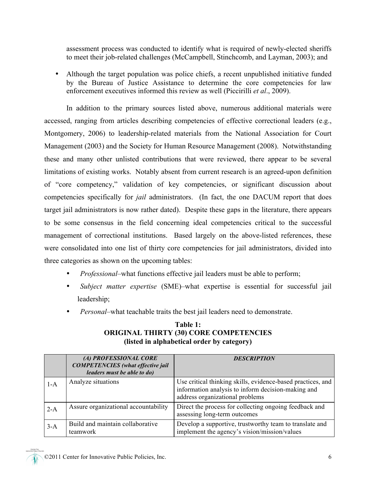assessment process was conducted to identify what is required of newly-elected sheriffs to meet their job-related challenges (McCampbell, Stinchcomb, and Layman, 2003); and

• Although the target population was police chiefs, a recent unpublished initiative funded by the Bureau of Justice Assistance to determine the core competencies for law enforcement executives informed this review as well (Piccirilli *et al*., 2009).

In addition to the primary sources listed above, numerous additional materials were accessed, ranging from articles describing competencies of effective correctional leaders (e.g., Montgomery, 2006) to leadership-related materials from the National Association for Court Management (2003) and the Society for Human Resource Management (2008). Notwithstanding these and many other unlisted contributions that were reviewed, there appear to be several limitations of existing works. Notably absent from current research is an agreed-upon definition of "core competency," validation of key competencies, or significant discussion about competencies specifically for *jail* administrators. (In fact, the one DACUM report that does target jail administrators is now rather dated). Despite these gaps in the literature, there appears to be some consensus in the field concerning ideal competencies critical to the successful management of correctional institutions. Based largely on the above-listed references, these were consolidated into one list of thirty core competencies for jail administrators, divided into three categories as shown on the upcoming tables:

- *Professional*–what functions effective jail leaders must be able to perform;
- *Subject matter expertise* (SME)–what expertise is essential for successful jail leadership;
- *Personal*–what teachable traits the best jail leaders need to demonstrate.

|       | (A) PROFESSIONAL CORE<br><b>COMPETENCIES</b> (what effective jail<br>leaders must be able to do) | <b>DESCRIPTION</b>                                                                                                                                   |
|-------|--------------------------------------------------------------------------------------------------|------------------------------------------------------------------------------------------------------------------------------------------------------|
| $1-A$ | Analyze situations                                                                               | Use critical thinking skills, evidence-based practices, and<br>information analysis to inform decision-making and<br>address organizational problems |
| $2-A$ | Assure organizational accountability                                                             | Direct the process for collecting ongoing feedback and<br>assessing long-term outcomes                                                               |
| $3-A$ | Build and maintain collaborative<br>teamwork                                                     | Develop a supportive, trustworthy team to translate and<br>implement the agency's vision/mission/values                                              |

#### **Table 1: ORIGINAL THIRTY (30) CORE COMPETENCIES (listed in alphabetical order by category)**

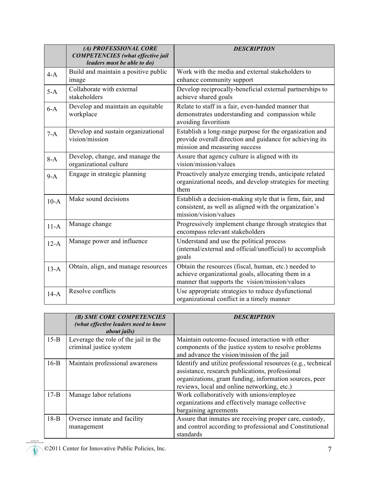|                                                               | (A) PROFESSIONAL CORE<br><b>COMPETENCIES</b> (what effective jail<br>leaders must be able to do) | <b>DESCRIPTION</b>                                                                                                                                           |  |
|---------------------------------------------------------------|--------------------------------------------------------------------------------------------------|--------------------------------------------------------------------------------------------------------------------------------------------------------------|--|
| Build and maintain a positive public<br>$4-A$<br>image        |                                                                                                  | Work with the media and external stakeholders to<br>enhance community support                                                                                |  |
| $5-A$                                                         | Collaborate with external<br>stakeholders                                                        | Develop reciprocally-beneficial external partnerships to<br>achieve shared goals                                                                             |  |
| $6-A$                                                         | Develop and maintain an equitable<br>workplace                                                   | Relate to staff in a fair, even-handed manner that<br>demonstrates understanding and compassion while<br>avoiding favoritism                                 |  |
| Develop and sustain organizational<br>$7-A$<br>vision/mission |                                                                                                  | Establish a long-range purpose for the organization and<br>provide overall direction and guidance for achieving its<br>mission and measuring success         |  |
| $8-A$                                                         | Develop, change, and manage the<br>organizational culture                                        | Assure that agency culture is aligned with its<br>vision/mission/values                                                                                      |  |
| $9-A$                                                         | Engage in strategic planning                                                                     | Proactively analyze emerging trends, anticipate related<br>organizational needs, and develop strategies for meeting<br>them                                  |  |
| $10-A$                                                        | Make sound decisions                                                                             | Establish a decision-making style that is firm, fair, and<br>consistent, as well as aligned with the organization's<br>mission/vision/values                 |  |
| $11-A$                                                        | Manage change                                                                                    | Progressively implement change through strategies that<br>encompass relevant stakeholders                                                                    |  |
| $12-A$                                                        | Manage power and influence                                                                       | Understand and use the political process<br>(internal/external and official/unofficial) to accomplish<br>goals                                               |  |
| $13-A$                                                        | Obtain, align, and manage resources                                                              | Obtain the resources (fiscal, human, etc.) needed to<br>achieve organizational goals, allocating them in a<br>manner that supports the vision/mission/values |  |
| $14-A$                                                        | Resolve conflicts                                                                                | Use appropriate strategies to reduce dysfunctional<br>organizational conflict in a timely manner                                                             |  |

|          | (B) SME CORE COMPETENCIES<br>(what effective leaders need to know<br><i>about jails</i> ) | <b>DESCRIPTION</b>                                           |  |  |
|----------|-------------------------------------------------------------------------------------------|--------------------------------------------------------------|--|--|
| $15-B$   | Leverage the role of the jail in the                                                      | Maintain outcome-focused interaction with other              |  |  |
|          | criminal justice system                                                                   | components of the justice system to resolve problems         |  |  |
|          |                                                                                           | and advance the vision/mission of the jail                   |  |  |
| $16-B$   | Maintain professional awareness                                                           | Identify and utilize professional resources (e.g., technical |  |  |
|          |                                                                                           | assistance, research publications, professional              |  |  |
|          |                                                                                           | organizations, grant funding, information sources, peer      |  |  |
|          |                                                                                           | reviews, local and online networking, etc.)                  |  |  |
| $17 - B$ | Manage labor relations                                                                    | Work collaboratively with unions/employee                    |  |  |
|          |                                                                                           | organizations and effectively manage collective              |  |  |
|          |                                                                                           | bargaining agreements                                        |  |  |
| $18-B$   | Oversee inmate and facility                                                               | Assure that inmates are receiving proper care, custody,      |  |  |
|          | management                                                                                | and control according to professional and Constitutional     |  |  |
|          |                                                                                           | standards                                                    |  |  |

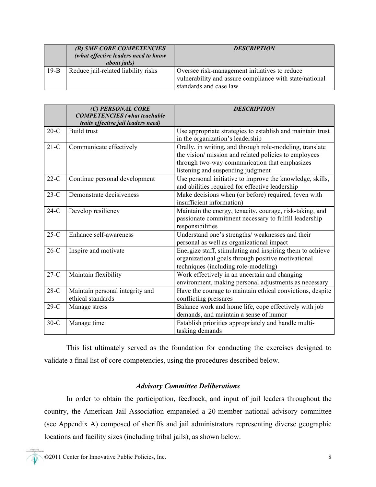|        | (B) SME CORE COMPETENCIES<br>(what effective leaders need to know<br><i>about jails</i> ) | <b>DESCRIPTION</b>                                                                                                                 |  |
|--------|-------------------------------------------------------------------------------------------|------------------------------------------------------------------------------------------------------------------------------------|--|
| $19-B$ | Reduce jail-related liability risks                                                       | Oversee risk-management initiatives to reduce<br>vulnerability and assure compliance with state/national<br>standards and case law |  |

|        | (C) PERSONAL CORE<br><b>COMPETENCIES</b> (what teachable<br>traits effective jail leaders need) | <b>DESCRIPTION</b>                                                                                                                                                                                     |  |
|--------|-------------------------------------------------------------------------------------------------|--------------------------------------------------------------------------------------------------------------------------------------------------------------------------------------------------------|--|
| $20-C$ | <b>Build trust</b>                                                                              | Use appropriate strategies to establish and maintain trust<br>in the organization's leadership                                                                                                         |  |
| $21-C$ | Communicate effectively                                                                         | Orally, in writing, and through role-modeling, translate<br>the vision/mission and related policies to employees<br>through two-way communication that emphasizes<br>listening and suspending judgment |  |
| $22-C$ | Continue personal development                                                                   | Use personal initiative to improve the knowledge, skills,<br>and abilities required for effective leadership                                                                                           |  |
| $23-C$ | Demonstrate decisiveness                                                                        | Make decisions when (or before) required, (even with<br>insufficient information)                                                                                                                      |  |
| $24-C$ | Develop resiliency                                                                              | Maintain the energy, tenacity, courage, risk-taking, and<br>passionate commitment necessary to fulfill leadership<br>responsibilities                                                                  |  |
| $25-C$ | Enhance self-awareness                                                                          | Understand one's strengths/ weaknesses and their<br>personal as well as organizational impact                                                                                                          |  |
| $26-C$ | Inspire and motivate                                                                            | Energize staff, stimulating and inspiring them to achieve<br>organizational goals through positive motivational<br>techniques (including role-modeling)                                                |  |
| $27-C$ | Maintain flexibility                                                                            | Work effectively in an uncertain and changing<br>environment, making personal adjustments as necessary                                                                                                 |  |
| $28-C$ | Maintain personal integrity and<br>ethical standards                                            | Have the courage to maintain ethical convictions, despite<br>conflicting pressures                                                                                                                     |  |
| $29-C$ | Manage stress                                                                                   | Balance work and home life, cope effectively with job<br>demands, and maintain a sense of humor                                                                                                        |  |
| $30-C$ | Manage time                                                                                     | Establish priorities appropriately and handle multi-<br>tasking demands                                                                                                                                |  |

This list ultimately served as the foundation for conducting the exercises designed to validate a final list of core competencies, using the procedures described below.

#### *Advisory Committee Deliberations*

In order to obtain the participation, feedback, and input of jail leaders throughout the country, the American Jail Association empaneled a 20-member national advisory committee (see Appendix A) composed of sheriffs and jail administrators representing diverse geographic locations and facility sizes (including tribal jails), as shown below.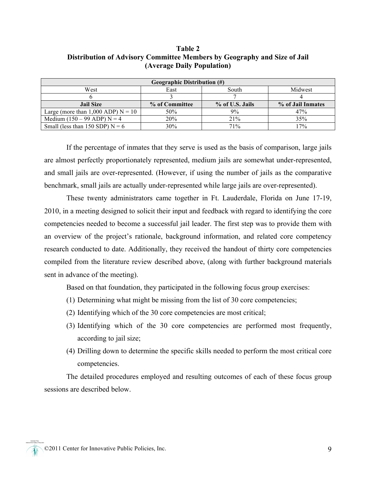#### **Table 2 Distribution of Advisory Committee Members by Geography and Size of Jail (Average Daily Population)**

| <b>Geographic Distribution (#)</b>   |                |                 |                   |  |  |
|--------------------------------------|----------------|-----------------|-------------------|--|--|
| West                                 | East           | South           | Midwest           |  |  |
|                                      |                |                 |                   |  |  |
| <b>Jail Size</b>                     | % of Committee | % of U.S. Jails | % of Jail Inmates |  |  |
| Large (more than 1,000 ADP) $N = 10$ | 50%            | 9%              | 47%               |  |  |
| Medium $(150 - 99$ ADP) N = 4        | 20%            | 21%             | 35%               |  |  |
| Small (less than 150 SDP) $N = 6$    | 30%            | 71%             | 17%               |  |  |

If the percentage of inmates that they serve is used as the basis of comparison, large jails are almost perfectly proportionately represented, medium jails are somewhat under-represented, and small jails are over-represented. (However, if using the number of jails as the comparative benchmark, small jails are actually under-represented while large jails are over-represented).

These twenty administrators came together in Ft. Lauderdale, Florida on June 17-19, 2010, in a meeting designed to solicit their input and feedback with regard to identifying the core competencies needed to become a successful jail leader. The first step was to provide them with an overview of the project's rationale, background information, and related core competency research conducted to date. Additionally, they received the handout of thirty core competencies compiled from the literature review described above, (along with further background materials sent in advance of the meeting).

Based on that foundation, they participated in the following focus group exercises:

- (1) Determining what might be missing from the list of 30 core competencies;
- (2) Identifying which of the 30 core competencies are most critical;
- (3) Identifying which of the 30 core competencies are performed most frequently, according to jail size;
- (4) Drilling down to determine the specific skills needed to perform the most critical core competencies.

The detailed procedures employed and resulting outcomes of each of these focus group sessions are described below.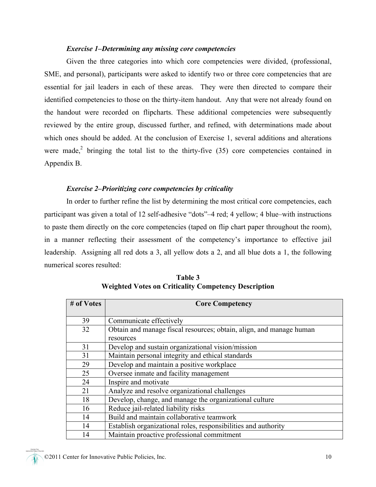#### *Exercise 1–Determining any missing core competencies*

Given the three categories into which core competencies were divided, (professional, SME, and personal), participants were asked to identify two or three core competencies that are essential for jail leaders in each of these areas. They were then directed to compare their identified competencies to those on the thirty-item handout. Any that were not already found on the handout were recorded on flipcharts. These additional competencies were subsequently reviewed by the entire group, discussed further, and refined, with determinations made about which ones should be added. At the conclusion of Exercise 1, several additions and alterations were made,<sup>2</sup> bringing the total list to the thirty-five  $(35)$  core competencies contained in Appendix B.

#### *Exercise 2–Prioritizing core competencies by criticality*

In order to further refine the list by determining the most critical core competencies, each participant was given a total of 12 self-adhesive "dots"–4 red; 4 yellow; 4 blue–with instructions to paste them directly on the core competencies (taped on flip chart paper throughout the room), in a manner reflecting their assessment of the competency's importance to effective jail leadership. Assigning all red dots a 3, all yellow dots a 2, and all blue dots a 1, the following numerical scores resulted:

| # of Votes | <b>Core Competency</b>                                              |  |  |
|------------|---------------------------------------------------------------------|--|--|
|            |                                                                     |  |  |
| 39         | Communicate effectively                                             |  |  |
| 32         | Obtain and manage fiscal resources; obtain, align, and manage human |  |  |
|            | resources                                                           |  |  |
| 31         | Develop and sustain organizational vision/mission                   |  |  |
| 31         | Maintain personal integrity and ethical standards                   |  |  |
| 29         | Develop and maintain a positive workplace                           |  |  |
| 25         | Oversee inmate and facility management                              |  |  |
| 24         | Inspire and motivate                                                |  |  |
| 21         | Analyze and resolve organizational challenges                       |  |  |
| 18         | Develop, change, and manage the organizational culture              |  |  |
| 16         | Reduce jail-related liability risks                                 |  |  |
| 14         | Build and maintain collaborative teamwork                           |  |  |
| 14         | Establish organizational roles, responsibilities and authority      |  |  |
| 14         | Maintain proactive professional commitment                          |  |  |

**Table 3 Weighted Votes on Criticality Competency Description**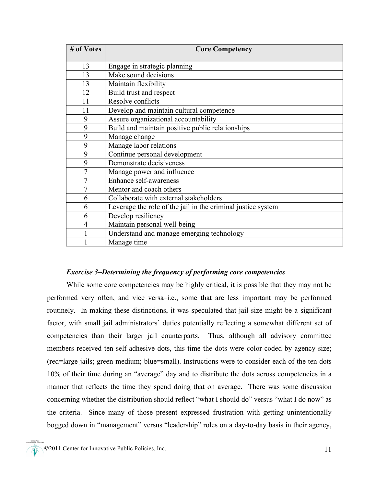| # of Votes | <b>Core Competency</b>                                       |  |
|------------|--------------------------------------------------------------|--|
|            |                                                              |  |
| 13         | Engage in strategic planning                                 |  |
| 13         | Make sound decisions                                         |  |
| 13         | Maintain flexibility                                         |  |
| 12         | Build trust and respect                                      |  |
| 11         | Resolve conflicts                                            |  |
| 11         | Develop and maintain cultural competence                     |  |
| 9          | Assure organizational accountability                         |  |
| 9          | Build and maintain positive public relationships             |  |
| 9          | Manage change                                                |  |
| 9          | Manage labor relations                                       |  |
| 9          | Continue personal development                                |  |
| 9          | Demonstrate decisiveness                                     |  |
| 7          | Manage power and influence                                   |  |
| 7          | Enhance self-awareness                                       |  |
| 7          | Mentor and coach others                                      |  |
| 6          | Collaborate with external stakeholders                       |  |
| 6          | Leverage the role of the jail in the criminal justice system |  |
| 6          | Develop resiliency                                           |  |
| 4          | Maintain personal well-being                                 |  |
|            | Understand and manage emerging technology                    |  |
|            | Manage time                                                  |  |

#### *Exercise 3–Determining the frequency of performing core competencies*

While some core competencies may be highly critical, it is possible that they may not be performed very often, and vice versa–i.e., some that are less important may be performed routinely. In making these distinctions, it was speculated that jail size might be a significant factor, with small jail administrators' duties potentially reflecting a somewhat different set of competencies than their larger jail counterparts. Thus, although all advisory committee members received ten self-adhesive dots, this time the dots were color-coded by agency size; (red=large jails; green-medium; blue=small). Instructions were to consider each of the ten dots 10% of their time during an "average" day and to distribute the dots across competencies in a manner that reflects the time they spend doing that on average. There was some discussion concerning whether the distribution should reflect "what I should do" versus "what I do now" as the criteria. Since many of those present expressed frustration with getting unintentionally bogged down in "management" versus "leadership" roles on a day-to-day basis in their agency,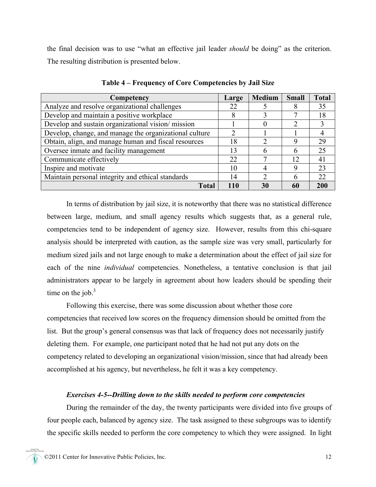the final decision was to use "what an effective jail leader *should* be doing" as the criterion. The resulting distribution is presented below.

| Competency                                             | Large | Medium | <b>Small</b> | <b>Total</b> |
|--------------------------------------------------------|-------|--------|--------------|--------------|
| Analyze and resolve organizational challenges          | 22    |        |              | 35           |
| Develop and maintain a positive workplace              | Λ     |        | ┑            | 18           |
| Develop and sustain organizational vision/mission      |       |        |              | 3            |
| Develop, change, and manage the organizational culture |       |        |              |              |
| Obtain, align, and manage human and fiscal resources   | 18    |        | 9            | 29           |
| Oversee inmate and facility management                 | 13    |        | h            | 25           |
| Communicate effectively                                | 22    |        | 12           | 41           |
| Inspire and motivate                                   | 10    |        | Q            | 23           |
| Maintain personal integrity and ethical standards      | 14    |        | h            | 22           |
| <b>Total</b>                                           | 110   | 30     | 60           |              |

**Table 4 – Frequency of Core Competencies by Jail Size**

In terms of distribution by jail size, it is noteworthy that there was no statistical difference between large, medium, and small agency results which suggests that, as a general rule, competencies tend to be independent of agency size. However, results from this chi-square analysis should be interpreted with caution, as the sample size was very small, particularly for medium sized jails and not large enough to make a determination about the effect of jail size for each of the nine *individual* competencies. Nonetheless, a tentative conclusion is that jail administrators appear to be largely in agreement about how leaders should be spending their time on the job. $3$ 

Following this exercise, there was some discussion about whether those core competencies that received low scores on the frequency dimension should be omitted from the list. But the group's general consensus was that lack of frequency does not necessarily justify deleting them. For example, one participant noted that he had not put any dots on the competency related to developing an organizational vision/mission, since that had already been accomplished at his agency, but nevertheless, he felt it was a key competency.

#### *Exercises 4-5--Drilling down to the skills needed to perform core competencies*

During the remainder of the day, the twenty participants were divided into five groups of four people each, balanced by agency size. The task assigned to these subgroups was to identify the specific skills needed to perform the core competency to which they were assigned. In light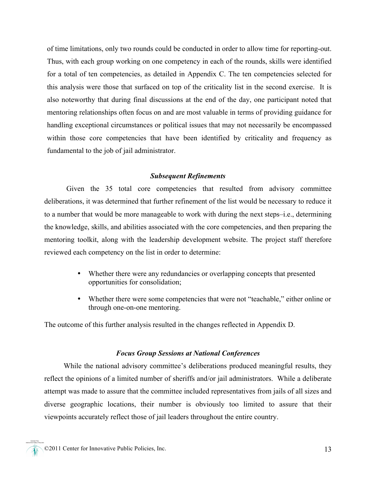of time limitations, only two rounds could be conducted in order to allow time for reporting-out. Thus, with each group working on one competency in each of the rounds, skills were identified for a total of ten competencies, as detailed in Appendix C. The ten competencies selected for this analysis were those that surfaced on top of the criticality list in the second exercise. It is also noteworthy that during final discussions at the end of the day, one participant noted that mentoring relationships often focus on and are most valuable in terms of providing guidance for handling exceptional circumstances or political issues that may not necessarily be encompassed within those core competencies that have been identified by criticality and frequency as fundamental to the job of jail administrator.

#### *Subsequent Refinements*

Given the 35 total core competencies that resulted from advisory committee deliberations, it was determined that further refinement of the list would be necessary to reduce it to a number that would be more manageable to work with during the next steps–i.e., determining the knowledge, skills, and abilities associated with the core competencies, and then preparing the mentoring toolkit, along with the leadership development website. The project staff therefore reviewed each competency on the list in order to determine:

- Whether there were any redundancies or overlapping concepts that presented opportunities for consolidation;
- Whether there were some competencies that were not "teachable," either online or through one-on-one mentoring.

The outcome of this further analysis resulted in the changes reflected in Appendix D.

#### *Focus Group Sessions at National Conferences*

While the national advisory committee's deliberations produced meaningful results, they reflect the opinions of a limited number of sheriffs and/or jail administrators. While a deliberate attempt was made to assure that the committee included representatives from jails of all sizes and diverse geographic locations, their number is obviously too limited to assure that their viewpoints accurately reflect those of jail leaders throughout the entire country.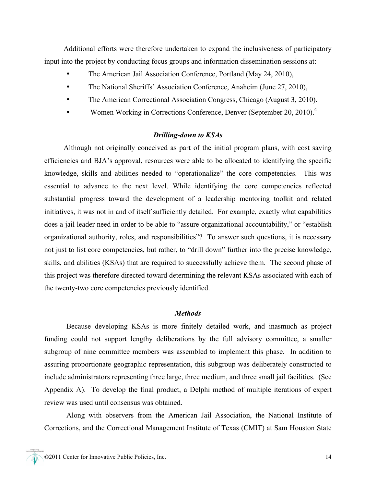Additional efforts were therefore undertaken to expand the inclusiveness of participatory input into the project by conducting focus groups and information dissemination sessions at:

- The American Jail Association Conference, Portland (May 24, 2010),
- The National Sheriffs' Association Conference, Anaheim (June 27, 2010),
- The American Correctional Association Congress, Chicago (August 3, 2010).
- Women Working in Corrections Conference, Denver (September 20, 2010).<sup>4</sup>

#### *Drilling-down to KSAs*

Although not originally conceived as part of the initial program plans, with cost saving efficiencies and BJA's approval, resources were able to be allocated to identifying the specific knowledge, skills and abilities needed to "operationalize" the core competencies. This was essential to advance to the next level. While identifying the core competencies reflected substantial progress toward the development of a leadership mentoring toolkit and related initiatives, it was not in and of itself sufficiently detailed. For example, exactly what capabilities does a jail leader need in order to be able to "assure organizational accountability," or "establish organizational authority, roles, and responsibilities"? To answer such questions, it is necessary not just to list core competencies, but rather, to "drill down" further into the precise knowledge, skills, and abilities (KSAs) that are required to successfully achieve them. The second phase of this project was therefore directed toward determining the relevant KSAs associated with each of the twenty-two core competencies previously identified.

#### *Methods*

Because developing KSAs is more finitely detailed work, and inasmuch as project funding could not support lengthy deliberations by the full advisory committee, a smaller subgroup of nine committee members was assembled to implement this phase. In addition to assuring proportionate geographic representation, this subgroup was deliberately constructed to include administrators representing three large, three medium, and three small jail facilities. (See Appendix A). To develop the final product, a Delphi method of multiple iterations of expert review was used until consensus was obtained.

Along with observers from the American Jail Association, the National Institute of Corrections, and the Correctional Management Institute of Texas (CMIT) at Sam Houston State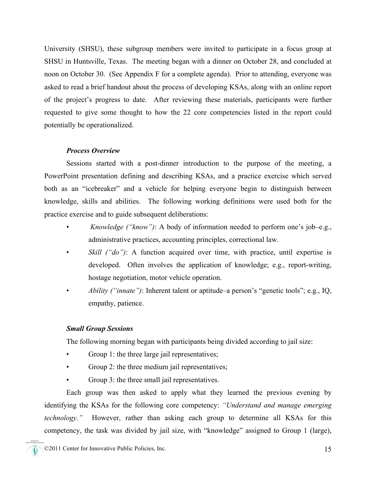University (SHSU), these subgroup members were invited to participate in a focus group at SHSU in Huntsville, Texas. The meeting began with a dinner on October 28, and concluded at noon on October 30. (See Appendix F for a complete agenda). Prior to attending, everyone was asked to read a brief handout about the process of developing KSAs, along with an online report of the project's progress to date. After reviewing these materials, participants were further requested to give some thought to how the 22 core competencies listed in the report could potentially be operationalized.

#### *Process Overview*

Sessions started with a post-dinner introduction to the purpose of the meeting, a PowerPoint presentation defining and describing KSAs, and a practice exercise which served both as an "icebreaker" and a vehicle for helping everyone begin to distinguish between knowledge, skills and abilities. The following working definitions were used both for the practice exercise and to guide subsequent deliberations:

- • *Knowledge ("know")*: A body of information needed to perform one's job–e.g., administrative practices, accounting principles, correctional law.
- *Skill ("do")*: A function acquired over time, with practice, until expertise is developed. Often involves the application of knowledge; e.g., report-writing, hostage negotiation, motor vehicle operation.
- *Ability ("innate")*: Inherent talent or aptitude–a person's "genetic tools"; e.g., IQ, empathy, patience.

#### *Small Group Sessions*

The following morning began with participants being divided according to jail size:

- Group 1: the three large jail representatives;
- Group 2: the three medium jail representatives;
- Group 3: the three small jail representatives.

Each group was then asked to apply what they learned the previous evening by identifying the KSAs for the following core competency: *"Understand and manage emerging technology."* However, rather than asking each group to determine all KSAs for this competency, the task was divided by jail size, with "knowledge" assigned to Group 1 (large),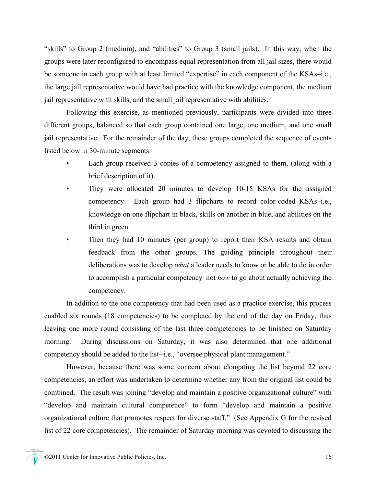"skills" to Group 2 (medium), and "abilities" to Group 3 (small jails). In this way, when the groups were later reconfigured to encompass equal representation from all jail sizes, there would be someone in each group with at least limited "expertise" in each component of the KSAs–i.e., the large jail representative would have had practice with the knowledge component, the medium jail representative with skills, and the small jail representative with abilities.

Following this exercise, as mentioned previously, participants were divided into three different groups, balanced so that each group contained one large, one medium, and one small jail representative. For the remainder of the day, these groups completed the sequence of events listed below in 30-minute segments:

- Each group received 3 copies of a competency assigned to them, (along with a brief description of it).
- They were allocated 20 minutes to develop 10-15 KSAs for the assigned competency. Each group had 3 flipcharts to record color-coded KSAs–i.e., knowledge on one flipchart in black, skills on another in blue, and abilities on the third in green.
- Then they had 10 minutes (per group) to report their KSA results and obtain feedback from the other groups. The guiding principle throughout their deliberations was to develop *what* a leader needs to know or be able to do in order to accomplish a particular competency–not *how* to go about actually achieving the competency.

In addition to the one competency that had been used as a practice exercise, this process enabled six rounds (18 competencies) to be completed by the end of the day on Friday, thus leaving one more round consisting of the last three competencies to be finished on Saturday morning. During discussions on Saturday, it was also determined that one additional competency should be added to the list--i.e., "oversee physical plant management."

However, because there was some concern about elongating the list beyond 22 core competencies, an effort was undertaken to determine whether any from the original list could be combined. The result was joining "develop and maintain a positive organizational culture" with "develop and maintain cultural competence" to form "develop and maintain a positive organizational culture that promotes respect for diverse staff." (See Appendix G for the revised list of 22 core competencies). The remainder of Saturday morning was devoted to discussing the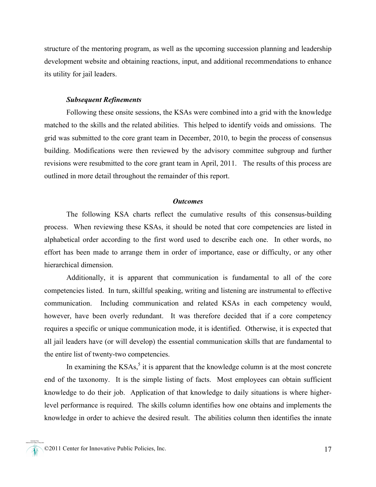structure of the mentoring program, as well as the upcoming succession planning and leadership development website and obtaining reactions, input, and additional recommendations to enhance its utility for jail leaders.

#### *Subsequent Refinements*

Following these onsite sessions, the KSAs were combined into a grid with the knowledge matched to the skills and the related abilities. This helped to identify voids and omissions. The grid was submitted to the core grant team in December, 2010, to begin the process of consensus building. Modifications were then reviewed by the advisory committee subgroup and further revisions were resubmitted to the core grant team in April, 2011. The results of this process are outlined in more detail throughout the remainder of this report.

#### *Outcomes*

The following KSA charts reflect the cumulative results of this consensus-building process. When reviewing these KSAs, it should be noted that core competencies are listed in alphabetical order according to the first word used to describe each one. In other words, no effort has been made to arrange them in order of importance, ease or difficulty, or any other hierarchical dimension.

Additionally, it is apparent that communication is fundamental to all of the core competencies listed. In turn, skillful speaking, writing and listening are instrumental to effective communication. Including communication and related KSAs in each competency would, however, have been overly redundant. It was therefore decided that if a core competency requires a specific or unique communication mode, it is identified. Otherwise, it is expected that all jail leaders have (or will develop) the essential communication skills that are fundamental to the entire list of twenty-two competencies.

In examining the  $KSAs$ ,<sup>5</sup> it is apparent that the knowledge column is at the most concrete end of the taxonomy. It is the simple listing of facts. Most employees can obtain sufficient knowledge to do their job. Application of that knowledge to daily situations is where higherlevel performance is required. The skills column identifies how one obtains and implements the knowledge in order to achieve the desired result. The abilities column then identifies the innate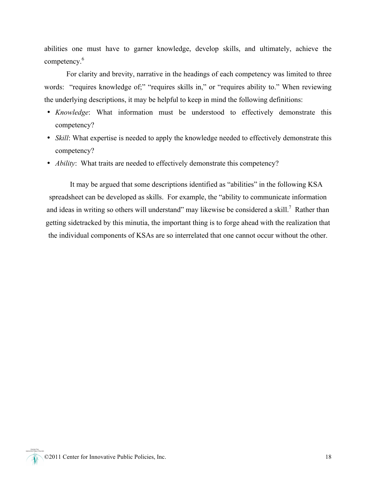abilities one must have to garner knowledge, develop skills, and ultimately, achieve the competency.<sup>6</sup>

For clarity and brevity, narrative in the headings of each competency was limited to three words: "requires knowledge of;" "requires skills in," or "requires ability to." When reviewing the underlying descriptions, it may be helpful to keep in mind the following definitions:

- *Knowledge*: What information must be understood to effectively demonstrate this competency?
- *Skill*: What expertise is needed to apply the knowledge needed to effectively demonstrate this competency?
- *Ability*: What traits are needed to effectively demonstrate this competency?

It may be argued that some descriptions identified as "abilities" in the following KSA spreadsheet can be developed as skills. For example, the "ability to communicate information and ideas in writing so others will understand" may likewise be considered a skill.<sup>7</sup> Rather than getting sidetracked by this minutia, the important thing is to forge ahead with the realization that the individual components of KSAs are so interrelated that one cannot occur without the other.

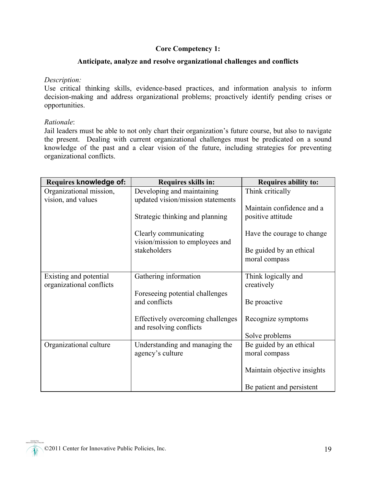#### **Core Competency 1:**

#### **Anticipate, analyze and resolve organizational challenges and conflicts**

#### *Description:*

Use critical thinking skills, evidence-based practices, and information analysis to inform decision-making and address organizational problems; proactively identify pending crises or opportunities.

#### *Rationale*:

Jail leaders must be able to not only chart their organization's future course, but also to navigate the present. Dealing with current organizational challenges must be predicated on a sound knowledge of the past and a clear vision of the future, including strategies for preventing organizational conflicts.

| <b>Requires knowledge of:</b> | Requires skills in:                                          | <b>Requires ability to:</b> |
|-------------------------------|--------------------------------------------------------------|-----------------------------|
| Organizational mission,       | Developing and maintaining                                   | Think critically            |
| vision, and values            | updated vision/mission statements                            |                             |
|                               |                                                              | Maintain confidence and a   |
|                               | Strategic thinking and planning                              | positive attitude           |
|                               | Clearly communicating<br>vision/mission to employees and     | Have the courage to change  |
|                               | stakeholders                                                 | Be guided by an ethical     |
|                               |                                                              | moral compass               |
|                               |                                                              |                             |
| Existing and potential        | Gathering information                                        | Think logically and         |
| organizational conflicts      |                                                              | creatively                  |
|                               | Foreseeing potential challenges                              |                             |
|                               | and conflicts                                                | Be proactive                |
|                               | Effectively overcoming challenges<br>and resolving conflicts | Recognize symptoms          |
|                               |                                                              | Solve problems              |
| Organizational culture        | Understanding and managing the                               | Be guided by an ethical     |
|                               | agency's culture                                             | moral compass               |
|                               |                                                              | Maintain objective insights |
|                               |                                                              | Be patient and persistent   |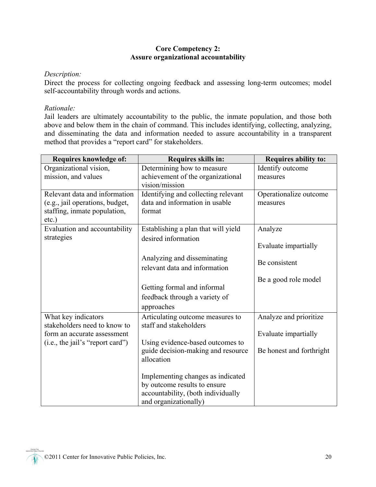#### **Core Competency 2: Assure organizational accountability**

#### *Description:*

Direct the process for collecting ongoing feedback and assessing long-term outcomes; model self-accountability through words and actions.

#### *Rationale:*

Jail leaders are ultimately accountability to the public, the inmate population, and those both above and below them in the chain of command. This includes identifying, collecting, analyzing, and disseminating the data and information needed to assure accountability in a transparent method that provides a "report card" for stakeholders.

| <b>Requires knowledge of:</b>    | Requires skills in:                 | <b>Requires ability to:</b> |
|----------------------------------|-------------------------------------|-----------------------------|
| Organizational vision,           | Determining how to measure          | Identify outcome            |
| mission, and values              | achievement of the organizational   | measures                    |
|                                  | vision/mission                      |                             |
| Relevant data and information    | Identifying and collecting relevant | Operationalize outcome      |
| (e.g., jail operations, budget,  | data and information in usable      | measures                    |
| staffing, inmate population,     | format                              |                             |
| $etc.$ )                         |                                     |                             |
| Evaluation and accountability    | Establishing a plan that will yield | Analyze                     |
| strategies                       | desired information                 |                             |
|                                  |                                     | Evaluate impartially        |
|                                  | Analyzing and disseminating         |                             |
|                                  | relevant data and information       | Be consistent               |
|                                  |                                     |                             |
|                                  |                                     | Be a good role model        |
|                                  | Getting formal and informal         |                             |
|                                  | feedback through a variety of       |                             |
|                                  | approaches                          |                             |
| What key indicators              | Articulating outcome measures to    | Analyze and prioritize      |
| stakeholders need to know to     | staff and stakeholders              |                             |
| form an accurate assessment      |                                     | Evaluate impartially        |
| (i.e., the jail's "report card") | Using evidence-based outcomes to    |                             |
|                                  | guide decision-making and resource  | Be honest and forthright    |
|                                  | allocation                          |                             |
|                                  |                                     |                             |
|                                  | Implementing changes as indicated   |                             |
|                                  | by outcome results to ensure        |                             |
|                                  | accountability, (both individually  |                             |
|                                  | and organizationally)               |                             |

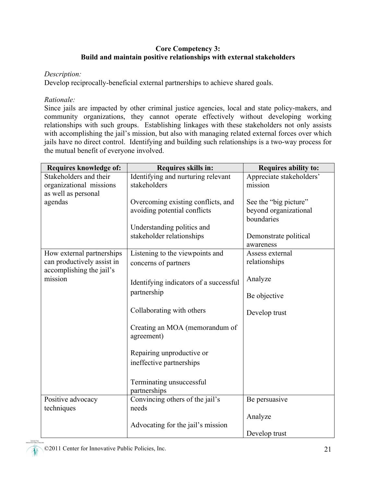#### **Core Competency 3: Build and maintain positive relationships with external stakeholders**

#### *Description:*

Develop reciprocally-beneficial external partnerships to achieve shared goals.

#### *Rationale:*

Since jails are impacted by other criminal justice agencies, local and state policy-makers, and community organizations, they cannot operate effectively without developing working relationships with such groups. Establishing linkages with these stakeholders not only assists with accomplishing the jail's mission, but also with managing related external forces over which jails have no direct control. Identifying and building such relationships is a two-way process for the mutual benefit of everyone involved.

| Requires knowledge of:                                                              | Requires skills in:                                                                                                           | <b>Requires ability to:</b>                                                                        |
|-------------------------------------------------------------------------------------|-------------------------------------------------------------------------------------------------------------------------------|----------------------------------------------------------------------------------------------------|
| Stakeholders and their<br>organizational missions<br>as well as personal            | Identifying and nurturing relevant<br>stakeholders                                                                            | Appreciate stakeholders'<br>mission                                                                |
| agendas                                                                             | Overcoming existing conflicts, and<br>avoiding potential conflicts<br>Understanding politics and<br>stakeholder relationships | See the "big picture"<br>beyond organizational<br>boundaries<br>Demonstrate political<br>awareness |
| How external partnerships<br>can productively assist in<br>accomplishing the jail's | Listening to the viewpoints and<br>concerns of partners                                                                       | Assess external<br>relationships                                                                   |
| mission                                                                             | Identifying indicators of a successful<br>partnership                                                                         | Analyze<br>Be objective                                                                            |
|                                                                                     | Collaborating with others                                                                                                     | Develop trust                                                                                      |
|                                                                                     | Creating an MOA (memorandum of<br>agreement)                                                                                  |                                                                                                    |
|                                                                                     | Repairing unproductive or<br>ineffective partnerships                                                                         |                                                                                                    |
|                                                                                     | Terminating unsuccessful<br>partnerships                                                                                      |                                                                                                    |
| Positive advocacy<br>techniques                                                     | Convincing others of the jail's<br>needs                                                                                      | Be persuasive                                                                                      |
|                                                                                     | Advocating for the jail's mission                                                                                             | Analyze<br>Develop trust                                                                           |

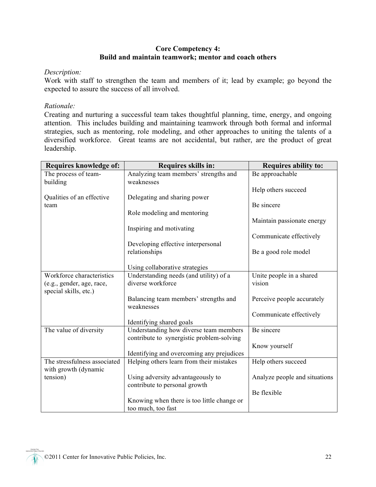#### **Core Competency 4: Build and maintain teamwork; mentor and coach others**

#### *Description:*

Work with staff to strengthen the team and members of it; lead by example; go beyond the expected to assure the success of all involved.

#### *Rationale:*

Creating and nurturing a successful team takes thoughtful planning, time, energy, and ongoing attention. This includes building and maintaining teamwork through both formal and informal strategies, such as mentoring, role modeling, and other approaches to uniting the talents of a diversified workforce. Great teams are not accidental, but rather, are the product of great leadership.

| <b>Requires knowledge of:</b> | Requires skills in:                                 | <b>Requires ability to:</b>   |
|-------------------------------|-----------------------------------------------------|-------------------------------|
| The process of team-          | Analyzing team members' strengths and               | Be approachable               |
| building                      | weaknesses                                          |                               |
|                               |                                                     | Help others succeed           |
| Qualities of an effective     | Delegating and sharing power                        |                               |
| team                          |                                                     | Be sincere                    |
|                               | Role modeling and mentoring                         |                               |
|                               |                                                     | Maintain passionate energy    |
|                               | Inspiring and motivating                            |                               |
|                               |                                                     | Communicate effectively       |
|                               | Developing effective interpersonal                  |                               |
|                               | relationships                                       | Be a good role model          |
|                               |                                                     |                               |
|                               | Using collaborative strategies                      |                               |
| Workforce characteristics     | Understanding needs (and utility) of a              | Unite people in a shared      |
| (e.g., gender, age, race,     | diverse workforce                                   | vision                        |
| special skills, etc.)         |                                                     |                               |
|                               | Balancing team members' strengths and<br>weaknesses | Perceive people accurately    |
|                               |                                                     | Communicate effectively       |
|                               | Identifying shared goals                            |                               |
| The value of diversity        | Understanding how diverse team members              | Be sincere                    |
|                               | contribute to synergistic problem-solving           |                               |
|                               |                                                     | Know yourself                 |
|                               | Identifying and overcoming any prejudices           |                               |
| The stressfulness associated  | Helping others learn from their mistakes            | Help others succeed           |
| with growth (dynamic          |                                                     |                               |
| tension)                      | Using adversity advantageously to                   | Analyze people and situations |
|                               | contribute to personal growth                       |                               |
|                               |                                                     | Be flexible                   |
|                               | Knowing when there is too little change or          |                               |
|                               | too much, too fast                                  |                               |

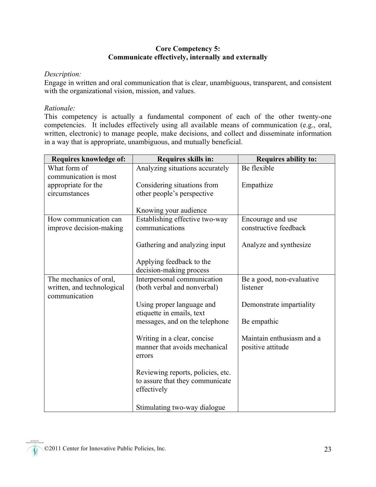#### **Core Competency 5: Communicate effectively, internally and externally**

#### *Description:*

Engage in written and oral communication that is clear, unambiguous, transparent, and consistent with the organizational vision, mission, and values.

#### *Rationale:*

This competency is actually a fundamental component of each of the other twenty-one competencies. It includes effectively using all available means of communication (e.g., oral, written, electronic) to manage people, make decisions, and collect and disseminate information in a way that is appropriate, unambiguous, and mutually beneficial.

| Requires knowledge of:     | Requires skills in:               | <b>Requires ability to:</b> |
|----------------------------|-----------------------------------|-----------------------------|
| What form of               | Analyzing situations accurately   | Be flexible                 |
| communication is most      |                                   |                             |
| appropriate for the        | Considering situations from       | Empathize                   |
| circumstances              | other people's perspective        |                             |
|                            |                                   |                             |
|                            | Knowing your audience             |                             |
| How communication can      | Establishing effective two-way    | Encourage and use           |
| improve decision-making    | communications                    | constructive feedback       |
|                            |                                   |                             |
|                            | Gathering and analyzing input     | Analyze and synthesize      |
|                            |                                   |                             |
|                            | Applying feedback to the          |                             |
|                            | decision-making process           |                             |
| The mechanics of oral,     | Interpersonal communication       | Be a good, non-evaluative   |
| written, and technological | (both verbal and nonverbal)       | listener                    |
| communication              |                                   |                             |
|                            | Using proper language and         | Demonstrate impartiality    |
|                            | etiquette in emails, text         |                             |
|                            | messages, and on the telephone    | Be empathic                 |
|                            | Writing in a clear, concise       | Maintain enthusiasm and a   |
|                            | manner that avoids mechanical     | positive attitude           |
|                            | errors                            |                             |
|                            |                                   |                             |
|                            | Reviewing reports, policies, etc. |                             |
|                            | to assure that they communicate   |                             |
|                            | effectively                       |                             |
|                            |                                   |                             |
|                            | Stimulating two-way dialogue      |                             |

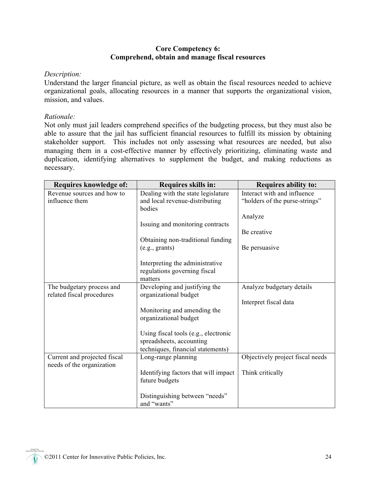#### **Core Competency 6: Comprehend, obtain and manage fiscal resources**

#### *Description:*

Understand the larger financial picture, as well as obtain the fiscal resources needed to achieve organizational goals, allocating resources in a manner that supports the organizational vision, mission, and values.

#### *Rationale:*

Not only must jail leaders comprehend specifics of the budgeting process, but they must also be able to assure that the jail has sufficient financial resources to fulfill its mission by obtaining stakeholder support. This includes not only assessing what resources are needed, but also managing them in a cost-effective manner by effectively prioritizing, eliminating waste and duplication, identifying alternatives to supplement the budget, and making reductions as necessary.

| Requires knowledge of:                                    | Requires skills in:                                                                                   | <b>Requires ability to:</b>                                   |
|-----------------------------------------------------------|-------------------------------------------------------------------------------------------------------|---------------------------------------------------------------|
| Revenue sources and how to<br>influence them              | Dealing with the state legislature<br>and local revenue-distributing<br>bodies                        | Interact with and influence<br>"holders of the purse-strings" |
|                                                           | Issuing and monitoring contracts                                                                      | Analyze<br>Be creative                                        |
|                                                           | Obtaining non-traditional funding<br>(e.g., grants)                                                   | Be persuasive                                                 |
|                                                           | Interpreting the administrative<br>regulations governing fiscal<br>matters                            |                                                               |
| The budgetary process and<br>related fiscal procedures    | Developing and justifying the<br>organizational budget                                                | Analyze budgetary details                                     |
|                                                           | Monitoring and amending the<br>organizational budget                                                  | Interpret fiscal data                                         |
|                                                           | Using fiscal tools (e.g., electronic<br>spreadsheets, accounting<br>techniques, financial statements) |                                                               |
| Current and projected fiscal<br>needs of the organization | Long-range planning                                                                                   | Objectively project fiscal needs                              |
|                                                           | Identifying factors that will impact<br>future budgets                                                | Think critically                                              |
|                                                           | Distinguishing between "needs"<br>and "wants"                                                         |                                                               |

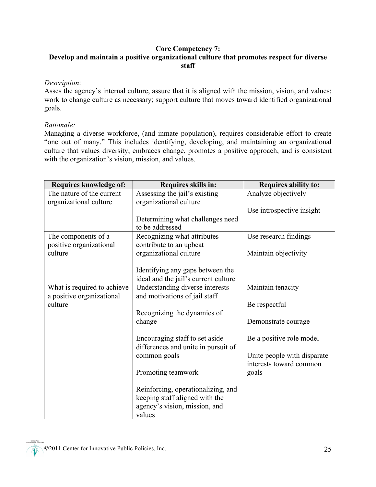#### **Core Competency 7: Develop and maintain a positive organizational culture that promotes respect for diverse staff**

#### *Description*:

Asses the agency's internal culture, assure that it is aligned with the mission, vision, and values; work to change culture as necessary; support culture that moves toward identified organizational goals.

#### *Rationale:*

Managing a diverse workforce, (and inmate population), requires considerable effort to create "one out of many." This includes identifying, developing, and maintaining an organizational culture that values diversity, embraces change, promotes a positive approach, and is consistent with the organization's vision, mission, and values.

| Requires knowledge of:      | Requires skills in:                  | <b>Requires ability to:</b> |
|-----------------------------|--------------------------------------|-----------------------------|
| The nature of the current   | Assessing the jail's existing        | Analyze objectively         |
| organizational culture      | organizational culture               |                             |
|                             |                                      | Use introspective insight   |
|                             | Determining what challenges need     |                             |
|                             | to be addressed                      |                             |
| The components of a         | Recognizing what attributes          | Use research findings       |
| positive organizational     | contribute to an upbeat              |                             |
| culture                     | organizational culture               | Maintain objectivity        |
|                             |                                      |                             |
|                             | Identifying any gaps between the     |                             |
|                             | ideal and the jail's current culture |                             |
| What is required to achieve | Understanding diverse interests      | Maintain tenacity           |
| a positive organizational   | and motivations of jail staff        |                             |
| culture                     |                                      | Be respectful               |
|                             | Recognizing the dynamics of          |                             |
|                             | change                               | Demonstrate courage         |
|                             |                                      |                             |
|                             | Encouraging staff to set aside       | Be a positive role model    |
|                             | differences and unite in pursuit of  |                             |
|                             | common goals                         | Unite people with disparate |
|                             |                                      | interests toward common     |
|                             | Promoting teamwork                   | goals                       |
|                             |                                      |                             |
|                             | Reinforcing, operationalizing, and   |                             |
|                             | keeping staff aligned with the       |                             |
|                             | agency's vision, mission, and        |                             |
|                             | values                               |                             |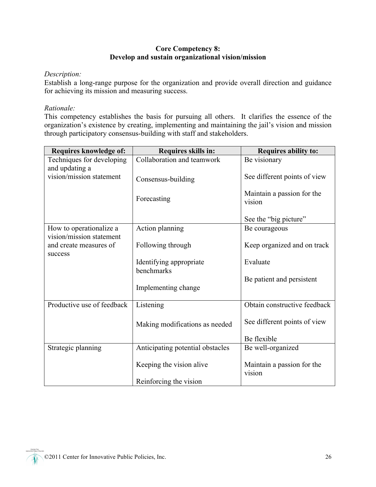#### **Core Competency 8: Develop and sustain organizational vision/mission**

#### *Description:*

Establish a long-range purpose for the organization and provide overall direction and guidance for achieving its mission and measuring success.

#### *Rationale:*

This competency establishes the basis for pursuing all others. It clarifies the essence of the organization's existence by creating, implementing and maintaining the jail's vision and mission through participatory consensus-building with staff and stakeholders.

| Requires knowledge of:                              | Requires skills in:                   | <b>Requires ability to:</b>          |
|-----------------------------------------------------|---------------------------------------|--------------------------------------|
| Techniques for developing<br>and updating a         | Collaboration and teamwork            | Be visionary                         |
| vision/mission statement                            | Consensus-building                    | See different points of view         |
|                                                     | Forecasting                           | Maintain a passion for the<br>vision |
|                                                     |                                       | See the "big picture"                |
| How to operationalize a<br>vision/mission statement | Action planning                       | Be courageous                        |
| and create measures of<br>success                   | Following through                     | Keep organized and on track          |
|                                                     | Identifying appropriate<br>benchmarks | Evaluate                             |
|                                                     | Implementing change                   | Be patient and persistent            |
|                                                     |                                       |                                      |
| Productive use of feedback                          | Listening                             | Obtain constructive feedback         |
|                                                     | Making modifications as needed        | See different points of view         |
|                                                     |                                       | Be flexible                          |
| Strategic planning                                  | Anticipating potential obstacles      | Be well-organized                    |
|                                                     | Keeping the vision alive              | Maintain a passion for the<br>vision |
|                                                     | Reinforcing the vision                |                                      |

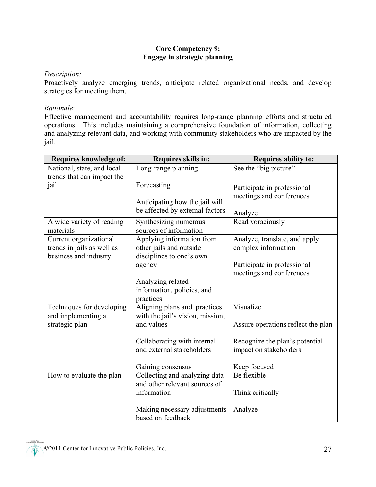#### **Core Competency 9: Engage in strategic planning**

#### *Description:*

Proactively analyze emerging trends, anticipate related organizational needs, and develop strategies for meeting them.

#### *Rationale*:

Effective management and accountability requires long-range planning efforts and structured operations. This includes maintaining a comprehensive foundation of information, collecting and analyzing relevant data, and working with community stakeholders who are impacted by the jail.

| Requires knowledge of:     | Requires skills in:              | <b>Requires ability to:</b>        |
|----------------------------|----------------------------------|------------------------------------|
| National, state, and local | Long-range planning              | See the "big picture"              |
| trends that can impact the |                                  |                                    |
| jail                       | Forecasting                      | Participate in professional        |
|                            |                                  | meetings and conferences           |
|                            | Anticipating how the jail will   |                                    |
|                            | be affected by external factors  | Analyze                            |
| A wide variety of reading  | Synthesizing numerous            | Read voraciously                   |
| materials                  | sources of information           |                                    |
| Current organizational     | Applying information from        | Analyze, translate, and apply      |
| trends in jails as well as | other jails and outside          | complex information                |
| business and industry      | disciplines to one's own         |                                    |
|                            | agency                           | Participate in professional        |
|                            |                                  | meetings and conferences           |
|                            | Analyzing related                |                                    |
|                            | information, policies, and       |                                    |
|                            | practices                        |                                    |
| Techniques for developing  | Aligning plans and practices     | Visualize                          |
| and implementing a         | with the jail's vision, mission, |                                    |
| strategic plan             | and values                       | Assure operations reflect the plan |
|                            | Collaborating with internal      | Recognize the plan's potential     |
|                            | and external stakeholders        | impact on stakeholders             |
|                            |                                  |                                    |
|                            | Gaining consensus                | Keep focused                       |
| How to evaluate the plan   | Collecting and analyzing data    | Be flexible                        |
|                            | and other relevant sources of    |                                    |
|                            | information                      | Think critically                   |
|                            |                                  |                                    |
|                            | Making necessary adjustments     | Analyze                            |
|                            | based on feedback                |                                    |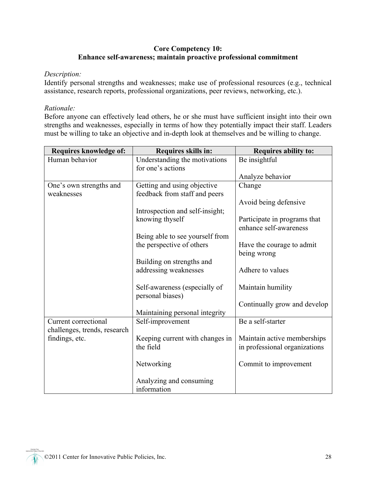#### **Core Competency 10: Enhance self-awareness; maintain proactive professional commitment**

#### *Description:*

Identify personal strengths and weaknesses; make use of professional resources (e.g., technical assistance, research reports, professional organizations, peer reviews, networking, etc.).

#### *Rationale:*

Before anyone can effectively lead others, he or she must have sufficient insight into their own strengths and weaknesses, especially in terms of how they potentially impact their staff. Leaders must be willing to take an objective and in-depth look at themselves and be willing to change.

| Requires knowledge of:       | Requires skills in:             | <b>Requires ability to:</b>   |
|------------------------------|---------------------------------|-------------------------------|
| Human behavior               | Understanding the motivations   | Be insightful                 |
|                              | for one's actions               |                               |
|                              |                                 | Analyze behavior              |
| One's own strengths and      | Getting and using objective     | Change                        |
| weaknesses                   | feedback from staff and peers   |                               |
|                              |                                 | Avoid being defensive         |
|                              | Introspection and self-insight; |                               |
|                              | knowing thyself                 | Participate in programs that  |
|                              |                                 | enhance self-awareness        |
|                              | Being able to see yourself from |                               |
|                              | the perspective of others       | Have the courage to admit     |
|                              |                                 | being wrong                   |
|                              | Building on strengths and       |                               |
|                              | addressing weaknesses           | Adhere to values              |
|                              |                                 |                               |
|                              | Self-awareness (especially of   | Maintain humility             |
|                              | personal biases)                |                               |
|                              |                                 | Continually grow and develop  |
|                              | Maintaining personal integrity  |                               |
| Current correctional         | Self-improvement                | Be a self-starter             |
| challenges, trends, research |                                 |                               |
| findings, etc.               | Keeping current with changes in | Maintain active memberships   |
|                              | the field                       | in professional organizations |
|                              |                                 |                               |
|                              | Networking                      | Commit to improvement         |
|                              |                                 |                               |
|                              | Analyzing and consuming         |                               |
|                              | information                     |                               |

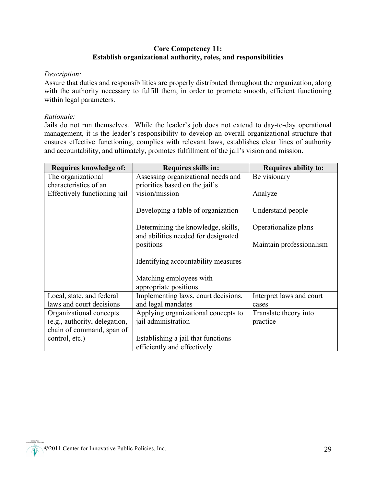#### **Core Competency 11: Establish organizational authority, roles, and responsibilities**

#### *Description:*

Assure that duties and responsibilities are properly distributed throughout the organization, along with the authority necessary to fulfill them, in order to promote smooth, efficient functioning within legal parameters.

#### *Rationale:*

Jails do not run themselves. While the leader's job does not extend to day-to-day operational management, it is the leader's responsibility to develop an overall organizational structure that ensures effective functioning, complies with relevant laws, establishes clear lines of authority and accountability, and ultimately, promotes fulfillment of the jail's vision and mission.

| Requires knowledge of:                                | Requires skills in:                                                       | <b>Requires ability to:</b>       |
|-------------------------------------------------------|---------------------------------------------------------------------------|-----------------------------------|
| The organizational<br>characteristics of an           | Assessing organizational needs and<br>priorities based on the jail's      | Be visionary                      |
| Effectively functioning jail                          | vision/mission                                                            | Analyze                           |
|                                                       | Developing a table of organization                                        | Understand people                 |
|                                                       | Determining the knowledge, skills,<br>and abilities needed for designated | Operationalize plans              |
|                                                       | positions                                                                 | Maintain professionalism          |
|                                                       | Identifying accountability measures                                       |                                   |
|                                                       | Matching employees with<br>appropriate positions                          |                                   |
| Local, state, and federal<br>laws and court decisions | Implementing laws, court decisions,<br>and legal mandates                 | Interpret laws and court<br>cases |
| Organizational concepts                               | Applying organizational concepts to                                       | Translate theory into             |
| (e.g., authority, delegation,                         | jail administration                                                       | practice                          |
| chain of command, span of                             |                                                                           |                                   |
| control, etc.)                                        | Establishing a jail that functions                                        |                                   |
|                                                       | efficiently and effectively                                               |                                   |

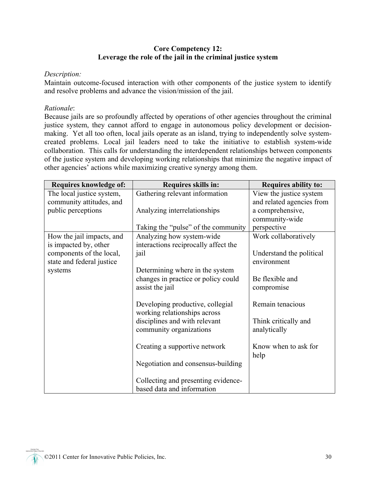#### **Core Competency 12: Leverage the role of the jail in the criminal justice system**

#### *Description:*

Maintain outcome-focused interaction with other components of the justice system to identify and resolve problems and advance the vision/mission of the jail.

#### *Rationale*:

Because jails are so profoundly affected by operations of other agencies throughout the criminal justice system, they cannot afford to engage in autonomous policy development or decisionmaking. Yet all too often, local jails operate as an island, trying to independently solve systemcreated problems. Local jail leaders need to take the initiative to establish system-wide collaboration. This calls for understanding the interdependent relationships between components of the justice system and developing working relationships that minimize the negative impact of other agencies' actions while maximizing creative synergy among them.

| Requires knowledge of:    | Requires skills in:                  | <b>Requires ability to:</b> |
|---------------------------|--------------------------------------|-----------------------------|
| The local justice system, | Gathering relevant information       | View the justice system     |
| community attitudes, and  |                                      | and related agencies from   |
| public perceptions        | Analyzing interrelationships         | a comprehensive,            |
|                           |                                      | community-wide              |
|                           | Taking the "pulse" of the community  | perspective                 |
| How the jail impacts, and | Analyzing how system-wide            | Work collaboratively        |
| is impacted by, other     | interactions reciprocally affect the |                             |
| components of the local,  | jail                                 | Understand the political    |
| state and federal justice |                                      | environment                 |
| systems                   | Determining where in the system      |                             |
|                           | changes in practice or policy could  | Be flexible and             |
|                           | assist the jail                      | compromise                  |
|                           |                                      |                             |
|                           | Developing productive, collegial     | Remain tenacious            |
|                           | working relationships across         |                             |
|                           | disciplines and with relevant        | Think critically and        |
|                           | community organizations              | analytically                |
|                           |                                      |                             |
|                           | Creating a supportive network        | Know when to ask for        |
|                           |                                      | help                        |
|                           | Negotiation and consensus-building   |                             |
|                           |                                      |                             |
|                           | Collecting and presenting evidence-  |                             |
|                           | based data and information           |                             |

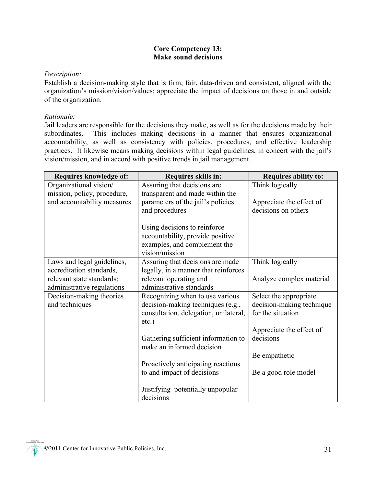#### **Core Competency 13: Make sound decisions**

#### *Description:*

Establish a decision-making style that is firm, fair, data-driven and consistent, aligned with the organization's mission/vision/values; appreciate the impact of decisions on those in and outside of the organization.

#### *Rationale:*

Jail leaders are responsible for the decisions they make, as well as for the decisions made by their subordinates. This includes making decisions in a manner that ensures organizational accountability, as well as consistency with policies, procedures, and effective leadership practices. It likewise means making decisions within legal guidelines, in concert with the jail's vision/mission, and in accord with positive trends in jail management.

| Requires knowledge of:      | Requires skills in:                   | <b>Requires ability to:</b> |
|-----------------------------|---------------------------------------|-----------------------------|
| Organizational vision/      | Assuring that decisions are           | Think logically             |
| mission, policy, procedure, | transparent and made within the       |                             |
| and accountability measures | parameters of the jail's policies     | Appreciate the effect of    |
|                             | and procedures                        | decisions on others         |
|                             |                                       |                             |
|                             | Using decisions to reinforce          |                             |
|                             | accountability, provide positive      |                             |
|                             | examples, and complement the          |                             |
|                             | vision/mission                        |                             |
| Laws and legal guidelines,  | Assuring that decisions are made      | Think logically             |
| accreditation standards,    | legally, in a manner that reinforces  |                             |
| relevant state standards;   | relevant operating and                | Analyze complex material    |
| administrative regulations  | administrative standards              |                             |
| Decision-making theories    | Recognizing when to use various       | Select the appropriate      |
| and techniques              | decision-making techniques (e.g.,     | decision-making technique   |
|                             | consultation, delegation, unilateral, | for the situation           |
|                             | $etc.$ )                              |                             |
|                             |                                       | Appreciate the effect of    |
|                             | Gathering sufficient information to   | decisions                   |
|                             | make an informed decision             |                             |
|                             |                                       | Be empathetic               |
|                             | Proactively anticipating reactions    |                             |
|                             | to and impact of decisions            | Be a good role model        |
|                             |                                       |                             |
|                             | Justifying potentially unpopular      |                             |
|                             | decisions                             |                             |

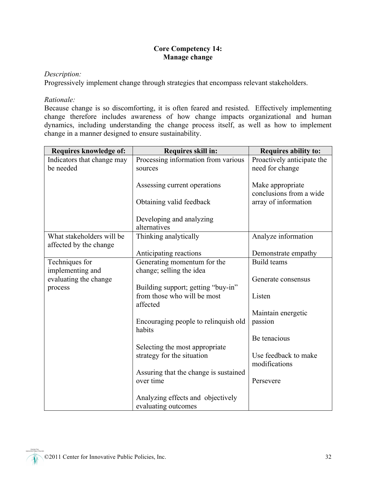#### **Core Competency 14: Manage change**

#### *Description:*

Progressively implement change through strategies that encompass relevant stakeholders.

#### *Rationale:*

Because change is so discomforting, it is often feared and resisted. Effectively implementing change therefore includes awareness of how change impacts organizational and human dynamics, including understanding the change process itself, as well as how to implement change in a manner designed to ensure sustainability.

| Requires knowledge of:     | Requires skill in:                             | Requires ability to:       |
|----------------------------|------------------------------------------------|----------------------------|
| Indicators that change may | Processing information from various            | Proactively anticipate the |
| be needed                  | sources                                        | need for change            |
|                            |                                                |                            |
|                            | Assessing current operations                   | Make appropriate           |
|                            |                                                | conclusions from a wide    |
|                            | Obtaining valid feedback                       | array of information       |
|                            | Developing and analyzing                       |                            |
|                            | alternatives                                   |                            |
| What stakeholders will be  | Thinking analytically                          | Analyze information        |
| affected by the change     |                                                |                            |
|                            | Anticipating reactions                         | Demonstrate empathy        |
| Techniques for             | Generating momentum for the                    | Build teams                |
| implementing and           | change; selling the idea                       |                            |
| evaluating the change      |                                                | Generate consensus         |
| process                    | Building support; getting "buy-in"             |                            |
|                            | from those who will be most                    | Listen                     |
|                            | affected                                       |                            |
|                            |                                                | Maintain energetic         |
|                            | Encouraging people to relinquish old<br>habits | passion                    |
|                            |                                                | Be tenacious               |
|                            | Selecting the most appropriate                 |                            |
|                            | strategy for the situation                     | Use feedback to make       |
|                            |                                                | modifications              |
|                            | Assuring that the change is sustained          |                            |
|                            | over time                                      | Persevere                  |
|                            |                                                |                            |
|                            | Analyzing effects and objectively              |                            |
|                            | evaluating outcomes                            |                            |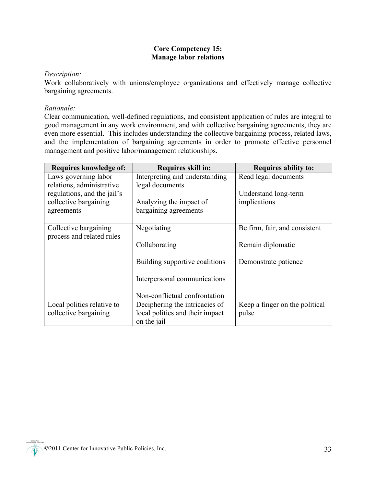#### **Core Competency 15: Manage labor relations**

#### *Description:*

Work collaboratively with unions/employee organizations and effectively manage collective bargaining agreements.

#### *Rationale:*

Clear communication, well-defined regulations, and consistent application of rules are integral to good management in any work environment, and with collective bargaining agreements, they are even more essential. This includes understanding the collective bargaining process, related laws, and the implementation of bargaining agreements in order to promote effective personnel management and positive labor/management relationships.

| Requires knowledge of:                             | <b>Requires skill in:</b>       | <b>Requires ability to:</b>    |
|----------------------------------------------------|---------------------------------|--------------------------------|
| Laws governing labor                               | Interpreting and understanding  | Read legal documents           |
| relations, administrative                          | legal documents                 |                                |
| regulations, and the jail's                        |                                 | Understand long-term           |
| collective bargaining                              | Analyzing the impact of         | implications                   |
| agreements                                         | bargaining agreements           |                                |
| Collective bargaining<br>process and related rules | Negotiating                     | Be firm, fair, and consistent  |
|                                                    | Collaborating                   | Remain diplomatic              |
|                                                    | Building supportive coalitions  | Demonstrate patience           |
|                                                    | Interpersonal communications    |                                |
|                                                    | Non-conflictual confrontation   |                                |
| Local politics relative to                         | Deciphering the intricacies of  | Keep a finger on the political |
| collective bargaining                              | local politics and their impact | pulse                          |
|                                                    | on the jail                     |                                |

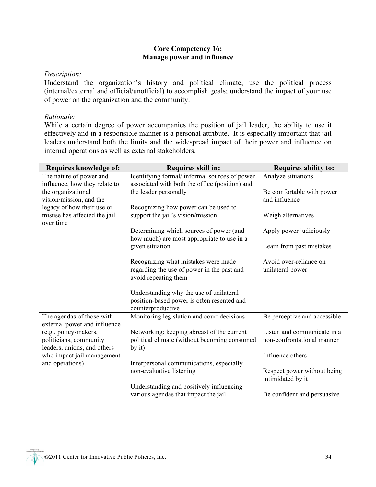#### **Core Competency 16: Manage power and influence**

#### *Description:*

Understand the organization's history and political climate; use the political process (internal/external and official/unofficial) to accomplish goals; understand the impact of your use of power on the organization and the community.

#### *Rationale:*

While a certain degree of power accompanies the position of jail leader, the ability to use it effectively and in a responsible manner is a personal attribute. It is especially important that jail leaders understand both the limits and the widespread impact of their power and influence on internal operations as well as external stakeholders.

| Requires knowledge of:        | Requires skill in:                             | <b>Requires ability to:</b>  |
|-------------------------------|------------------------------------------------|------------------------------|
| The nature of power and       | Identifying formal/ informal sources of power  | Analyze situations           |
| influence, how they relate to | associated with both the office (position) and |                              |
| the organizational            | the leader personally                          | Be comfortable with power    |
| vision/mission, and the       |                                                | and influence                |
| legacy of how their use or    | Recognizing how power can be used to           |                              |
| misuse has affected the jail  | support the jail's vision/mission              | Weigh alternatives           |
| over time                     |                                                |                              |
|                               | Determining which sources of power (and        | Apply power judiciously      |
|                               | how much) are most appropriate to use in a     |                              |
|                               | given situation                                | Learn from past mistakes     |
|                               |                                                |                              |
|                               | Recognizing what mistakes were made            | Avoid over-reliance on       |
|                               | regarding the use of power in the past and     | unilateral power             |
|                               | avoid repeating them                           |                              |
|                               | Understanding why the use of unilateral        |                              |
|                               | position-based power is often resented and     |                              |
|                               | counterproductive                              |                              |
| The agendas of those with     | Monitoring legislation and court decisions     | Be perceptive and accessible |
| external power and influence  |                                                |                              |
| (e.g., policy-makers,         | Networking; keeping abreast of the current     | Listen and communicate in a  |
| politicians, community        | political climate (without becoming consumed   | non-confrontational manner   |
| leaders, unions, and others   | by it)                                         |                              |
| who impact jail management    |                                                | Influence others             |
| and operations)               | Interpersonal communications, especially       |                              |
|                               | non-evaluative listening                       | Respect power without being  |
|                               |                                                | intimidated by it            |
|                               | Understanding and positively influencing       |                              |
|                               | various agendas that impact the jail           | Be confident and persuasive  |

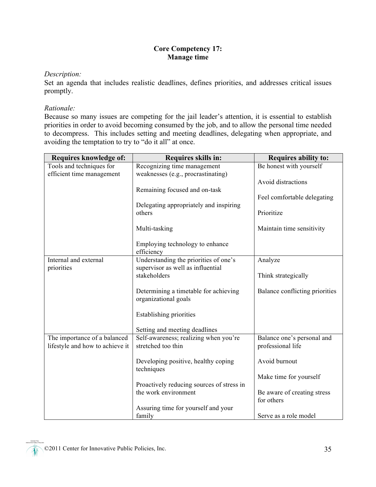#### **Core Competency 17: Manage time**

#### *Description:*

Set an agenda that includes realistic deadlines, defines priorities, and addresses critical issues promptly.

#### *Rationale:*

Because so many issues are competing for the jail leader's attention, it is essential to establish priorities in order to avoid becoming consumed by the job, and to allow the personal time needed to decompress. This includes setting and meeting deadlines, delegating when appropriate, and avoiding the temptation to try to "do it all" at once.

| Requires knowledge of:          | Requires skills in:                                 | <b>Requires ability to:</b>    |
|---------------------------------|-----------------------------------------------------|--------------------------------|
| Tools and techniques for        | Recognizing time management                         | Be honest with yourself        |
| efficient time management       | weaknesses (e.g., procrastinating)                  |                                |
|                                 |                                                     | Avoid distractions             |
|                                 | Remaining focused and on-task                       |                                |
|                                 | Delegating appropriately and inspiring              | Feel comfortable delegating    |
|                                 | others                                              | Prioritize                     |
|                                 |                                                     |                                |
|                                 | Multi-tasking                                       | Maintain time sensitivity      |
|                                 |                                                     |                                |
|                                 | Employing technology to enhance                     |                                |
| Internal and external           | efficiency<br>Understanding the priorities of one's | Analyze                        |
| priorities                      | supervisor as well as influential                   |                                |
|                                 | stakeholders                                        | Think strategically            |
|                                 |                                                     |                                |
|                                 | Determining a timetable for achieving               | Balance conflicting priorities |
|                                 | organizational goals                                |                                |
|                                 |                                                     |                                |
|                                 | <b>Establishing priorities</b>                      |                                |
|                                 | Setting and meeting deadlines                       |                                |
| The importance of a balanced    | Self-awareness; realizing when you're               | Balance one's personal and     |
| lifestyle and how to achieve it | stretched too thin                                  | professional life              |
|                                 |                                                     |                                |
|                                 | Developing positive, healthy coping                 | Avoid burnout                  |
|                                 | techniques                                          |                                |
|                                 | Proactively reducing sources of stress in           | Make time for yourself         |
|                                 | the work environment                                | Be aware of creating stress    |
|                                 |                                                     | for others                     |
|                                 | Assuring time for yourself and your                 |                                |
|                                 | family                                              | Serve as a role model          |

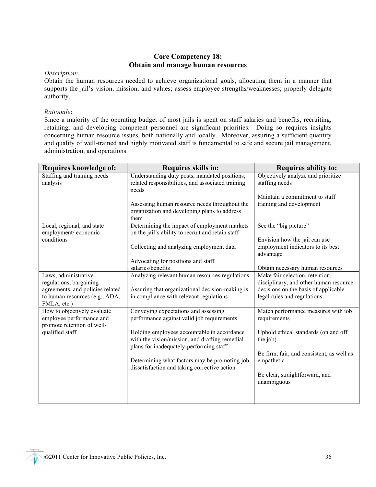#### **Core Competency 18: Obtain and manage human resources**

#### *Description*:

Obtain the human resources needed to achieve organizational goals, allocating them in a manner that supports the jail's vision, mission, and values; assess employee strengths/weaknesses; properly delegate authority.

#### *Rationale*:

Since a majority of the operating budget of most jails is spent on staff salaries and benefits, recruiting, retaining, and developing competent personnel are significant priorities. Doing so requires insights concerning human resource issues, both nationally and locally. Moreover, assuring a sufficient quantity and quality of well-trained and highly motivated staff is fundamental to safe and secure jail management, administration, and operations.

| Requires knowledge of:                                                                                                               | Requires skills in:                                                                                                                          | <b>Requires ability to:</b>                                                                                                                      |
|--------------------------------------------------------------------------------------------------------------------------------------|----------------------------------------------------------------------------------------------------------------------------------------------|--------------------------------------------------------------------------------------------------------------------------------------------------|
| Staffing and training needs                                                                                                          | Understanding duty posts, mandated positions,                                                                                                | Objectively analyze and prioritize                                                                                                               |
| analysis                                                                                                                             | related responsibilities, and associated training<br>needs                                                                                   | staffing needs                                                                                                                                   |
|                                                                                                                                      |                                                                                                                                              | Maintain a commitment to staff                                                                                                                   |
|                                                                                                                                      | Assessing human resource needs throughout the<br>organization and developing plans to address<br>them                                        | training and development                                                                                                                         |
| Local, regional, and state                                                                                                           | Determining the impact of employment markets                                                                                                 | See the "big picture"                                                                                                                            |
| employment/economic                                                                                                                  | on the jail's ability to recruit and retain staff                                                                                            |                                                                                                                                                  |
| conditions                                                                                                                           | Collecting and analyzing employment data                                                                                                     | Envision how the jail can use<br>employment indicators to its best<br>advantage                                                                  |
|                                                                                                                                      | Advocating for positions and staff                                                                                                           |                                                                                                                                                  |
|                                                                                                                                      | salaries/benefits                                                                                                                            | Obtain necessary human resources                                                                                                                 |
| Laws, administrative<br>regulations, bargaining<br>agreements, and policies related<br>to human resources (e.g., ADA,<br>FMLA, etc.) | Analyzing relevant human resources regulations<br>Assuring that organizational decision-making is<br>in compliance with relevant regulations | Make fair selection, retention,<br>disciplinary, and other human resource<br>decisions on the basis of applicable<br>legal rules and regulations |
| How to objectively evaluate                                                                                                          | Conveying expectations and assessing                                                                                                         | Match performance measures with job                                                                                                              |
| employee performance and<br>promote retention of well-                                                                               | performance against valid job requirements                                                                                                   | requirements                                                                                                                                     |
| qualified staff                                                                                                                      | Holding employees accountable in accordance<br>with the vision/mission, and drafting remedial<br>plans for inadequately-performing staff     | Uphold ethical standards (on and off<br>the job)                                                                                                 |
|                                                                                                                                      | Determining what factors may be promoting job                                                                                                | Be firm, fair, and consistent, as well as<br>empathetic                                                                                          |
|                                                                                                                                      | dissatisfaction and taking corrective action                                                                                                 |                                                                                                                                                  |
|                                                                                                                                      |                                                                                                                                              | Be clear, straightforward, and<br>unambiguous                                                                                                    |
|                                                                                                                                      |                                                                                                                                              |                                                                                                                                                  |
|                                                                                                                                      |                                                                                                                                              |                                                                                                                                                  |

©2011 Center for Innovative Public Policies, Inc. 36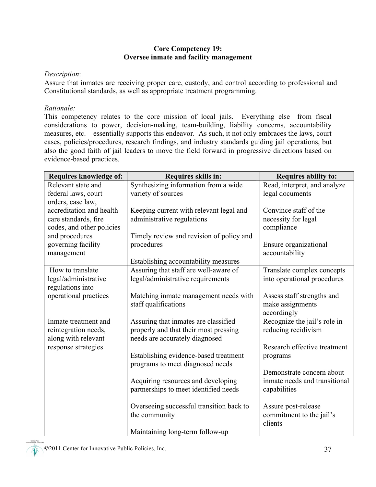#### **Core Competency 19: Oversee inmate and facility management**

#### *Description*:

Assure that inmates are receiving proper care, custody, and control according to professional and Constitutional standards, as well as appropriate treatment programming.

#### *Rationale:*

This competency relates to the core mission of local jails. Everything else—from fiscal considerations to power, decision-making, team-building, liability concerns, accountability measures, etc.—essentially supports this endeavor. As such, it not only embraces the laws, court cases, policies/procedures, research findings, and industry standards guiding jail operations, but also the good faith of jail leaders to move the field forward in progressive directions based on evidence-based practices.

| Synthesizing information from a wide<br>Relevant state and<br>Read, interpret, and analyze<br>variety of sources<br>federal laws, court<br>legal documents<br>orders, case law,<br>accreditation and health<br>Convince staff of the<br>Keeping current with relevant legal and<br>administrative regulations<br>care standards, fire<br>necessity for legal<br>compliance<br>codes, and other policies<br>and procedures<br>Timely review and revision of policy and<br>governing facility<br>procedures<br>Ensure organizational | Requires knowledge of: | Requires skills in: | Requires ability to: |
|------------------------------------------------------------------------------------------------------------------------------------------------------------------------------------------------------------------------------------------------------------------------------------------------------------------------------------------------------------------------------------------------------------------------------------------------------------------------------------------------------------------------------------|------------------------|---------------------|----------------------|
|                                                                                                                                                                                                                                                                                                                                                                                                                                                                                                                                    |                        |                     |                      |
|                                                                                                                                                                                                                                                                                                                                                                                                                                                                                                                                    |                        |                     |                      |
|                                                                                                                                                                                                                                                                                                                                                                                                                                                                                                                                    |                        |                     |                      |
|                                                                                                                                                                                                                                                                                                                                                                                                                                                                                                                                    |                        |                     |                      |
|                                                                                                                                                                                                                                                                                                                                                                                                                                                                                                                                    |                        |                     |                      |
|                                                                                                                                                                                                                                                                                                                                                                                                                                                                                                                                    |                        |                     |                      |
|                                                                                                                                                                                                                                                                                                                                                                                                                                                                                                                                    |                        |                     |                      |
|                                                                                                                                                                                                                                                                                                                                                                                                                                                                                                                                    |                        |                     |                      |
|                                                                                                                                                                                                                                                                                                                                                                                                                                                                                                                                    | management             |                     | accountability       |
| Establishing accountability measures                                                                                                                                                                                                                                                                                                                                                                                                                                                                                               |                        |                     |                      |
| Assuring that staff are well-aware of<br>Translate complex concepts<br>How to translate                                                                                                                                                                                                                                                                                                                                                                                                                                            |                        |                     |                      |
| legal/administrative requirements<br>legal/administrative<br>into operational procedures                                                                                                                                                                                                                                                                                                                                                                                                                                           |                        |                     |                      |
| regulations into                                                                                                                                                                                                                                                                                                                                                                                                                                                                                                                   |                        |                     |                      |
| operational practices<br>Assess staff strengths and<br>Matching inmate management needs with                                                                                                                                                                                                                                                                                                                                                                                                                                       |                        |                     |                      |
| staff qualifications<br>make assignments                                                                                                                                                                                                                                                                                                                                                                                                                                                                                           |                        |                     |                      |
| accordingly                                                                                                                                                                                                                                                                                                                                                                                                                                                                                                                        |                        |                     |                      |
| Recognize the jail's role in<br>Assuring that inmates are classified<br>Inmate treatment and                                                                                                                                                                                                                                                                                                                                                                                                                                       |                        |                     |                      |
| properly and that their most pressing<br>reducing recidivism<br>reintegration needs,                                                                                                                                                                                                                                                                                                                                                                                                                                               |                        |                     |                      |
| needs are accurately diagnosed<br>along with relevant                                                                                                                                                                                                                                                                                                                                                                                                                                                                              |                        |                     |                      |
| Research effective treatment<br>response strategies                                                                                                                                                                                                                                                                                                                                                                                                                                                                                |                        |                     |                      |
| Establishing evidence-based treatment<br>programs                                                                                                                                                                                                                                                                                                                                                                                                                                                                                  |                        |                     |                      |
| programs to meet diagnosed needs                                                                                                                                                                                                                                                                                                                                                                                                                                                                                                   |                        |                     |                      |
| Demonstrate concern about                                                                                                                                                                                                                                                                                                                                                                                                                                                                                                          |                        |                     |                      |
| Acquiring resources and developing<br>inmate needs and transitional                                                                                                                                                                                                                                                                                                                                                                                                                                                                |                        |                     |                      |
| partnerships to meet identified needs<br>capabilities                                                                                                                                                                                                                                                                                                                                                                                                                                                                              |                        |                     |                      |
| Overseeing successful transition back to                                                                                                                                                                                                                                                                                                                                                                                                                                                                                           |                        |                     |                      |
| Assure post-release                                                                                                                                                                                                                                                                                                                                                                                                                                                                                                                |                        |                     |                      |
| the community<br>commitment to the jail's<br>clients                                                                                                                                                                                                                                                                                                                                                                                                                                                                               |                        |                     |                      |
| Maintaining long-term follow-up                                                                                                                                                                                                                                                                                                                                                                                                                                                                                                    |                        |                     |                      |

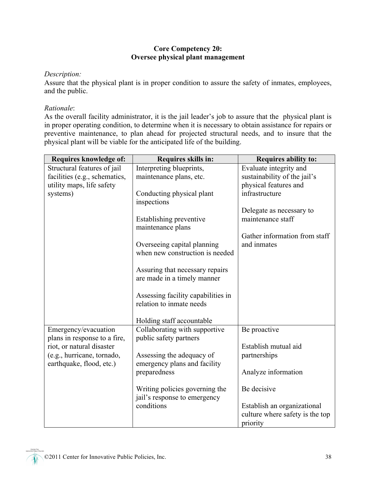#### **Core Competency 20: Oversee physical plant management**

#### *Description:*

Assure that the physical plant is in proper condition to assure the safety of inmates, employees, and the public.

#### *Rationale*:

As the overall facility administrator, it is the jail leader's job to assure that the physical plant is in proper operating condition, to determine when it is necessary to obtain assistance for repairs or preventive maintenance, to plan ahead for projected structural needs, and to insure that the physical plant will be viable for the anticipated life of the building.

| Requires knowledge of:        | Requires skills in:                | <b>Requires ability to:</b>     |
|-------------------------------|------------------------------------|---------------------------------|
| Structural features of jail   | Interpreting blueprints,           | Evaluate integrity and          |
| facilities (e.g., schematics, | maintenance plans, etc.            | sustainability of the jail's    |
| utility maps, life safety     |                                    | physical features and           |
| systems)                      | Conducting physical plant          | infrastructure                  |
|                               | inspections                        |                                 |
|                               |                                    | Delegate as necessary to        |
|                               | Establishing preventive            | maintenance staff               |
|                               | maintenance plans                  |                                 |
|                               |                                    | Gather information from staff   |
|                               | Overseeing capital planning        | and inmates                     |
|                               | when new construction is needed    |                                 |
|                               |                                    |                                 |
|                               | Assuring that necessary repairs    |                                 |
|                               | are made in a timely manner        |                                 |
|                               | Assessing facility capabilities in |                                 |
|                               | relation to inmate needs           |                                 |
|                               |                                    |                                 |
|                               | Holding staff accountable          |                                 |
| Emergency/evacuation          | Collaborating with supportive      | Be proactive                    |
| plans in response to a fire,  | public safety partners             |                                 |
| riot, or natural disaster     |                                    | Establish mutual aid            |
| (e.g., hurricane, tornado,    | Assessing the adequacy of          | partnerships                    |
| earthquake, flood, etc.)      | emergency plans and facility       |                                 |
|                               | preparedness                       | Analyze information             |
|                               |                                    |                                 |
|                               | Writing policies governing the     | Be decisive                     |
|                               | jail's response to emergency       |                                 |
|                               | conditions                         | Establish an organizational     |
|                               |                                    | culture where safety is the top |
|                               |                                    | priority                        |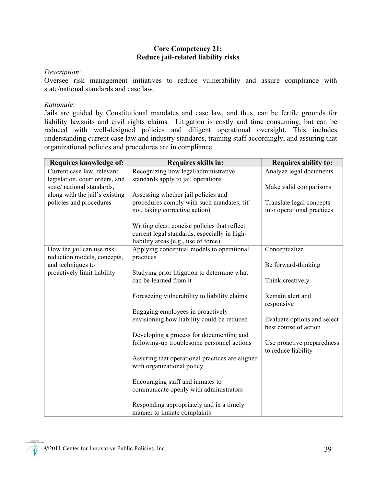#### **Core Competency 21: Reduce jail-related liability risks**

#### *Description*:

Oversee risk management initiatives to reduce vulnerability and assure compliance with state/national standards and case law.

#### *Rationale*:

Jails are guided by Constitutional mandates and case law, and thus, can be fertile grounds for liability lawsuits and civil rights claims. Litigation is costly and time consuming, but can be reduced with well-designed policies and diligent operational oversight. This includes understanding current case law and industry standards, training staff accordingly, and assuring that organizational policies and procedures are in compliance.

| Requires knowledge of:                           | Requires skills in:                                                   | <b>Requires ability to:</b> |
|--------------------------------------------------|-----------------------------------------------------------------------|-----------------------------|
| Current case law, relevant                       | Recognizing how legal/administrative                                  | Analyze legal documents     |
| legislation, court orders, and                   | standards apply to jail operations                                    |                             |
| state/national standards,                        |                                                                       | Make valid comparisons      |
| along with the jail's existing                   | Assessing whether jail policies and                                   |                             |
| policies and procedures                          | procedures comply with such mandates; (if                             | Translate legal concepts    |
|                                                  | not, taking corrective action)                                        | into operational practices  |
|                                                  |                                                                       |                             |
|                                                  | Writing clear, concise policies that reflect                          |                             |
|                                                  | current legal standards, especially in high-                          |                             |
|                                                  | liability areas (e.g., use of force)                                  |                             |
| How the jail can use risk                        | Applying conceptual models to operational                             | Conceptualize               |
| reduction models, concepts,                      | practices                                                             |                             |
| and techniques to<br>proactively limit liability |                                                                       | Be forward-thinking         |
|                                                  | Studying prior litigation to determine what<br>can be learned from it | Think creatively            |
|                                                  |                                                                       |                             |
|                                                  | Foreseeing vulnerability to liability claims                          | Remain alert and            |
|                                                  |                                                                       | responsive                  |
|                                                  | Engaging employees in proactively                                     |                             |
|                                                  | envisioning how liability could be reduced                            | Evaluate options and select |
|                                                  |                                                                       | best course of action       |
|                                                  | Developing a process for documenting and                              |                             |
|                                                  | following-up troublesome personnel actions                            | Use proactive preparedness  |
|                                                  |                                                                       | to reduce liability         |
|                                                  | Assuring that operational practices are aligned                       |                             |
|                                                  | with organizational policy                                            |                             |
|                                                  |                                                                       |                             |
|                                                  | Encouraging staff and inmates to                                      |                             |
|                                                  | communicate openly with administrators                                |                             |
|                                                  |                                                                       |                             |
|                                                  | Responding appropriately and in a timely                              |                             |
|                                                  | manner to inmate complaints                                           |                             |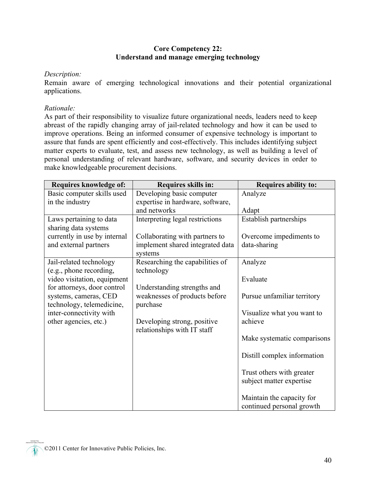#### **Core Competency 22: Understand and manage emerging technology**

#### *Description:*

Remain aware of emerging technological innovations and their potential organizational applications.

#### *Rationale:*

As part of their responsibility to visualize future organizational needs, leaders need to keep abreast of the rapidly changing array of jail-related technology and how it can be used to improve operations. Being an informed consumer of expensive technology is important to assure that funds are spent efficiently and cost-effectively. This includes identifying subject matter experts to evaluate, test, and assess new technology, as well as building a level of personal understanding of relevant hardware, software, and security devices in order to make knowledgeable procurement decisions.

| Requires knowledge of:                             | Requires skills in:                                        | <b>Requires ability to:</b> |
|----------------------------------------------------|------------------------------------------------------------|-----------------------------|
| Basic computer skills used                         | Developing basic computer                                  | Analyze                     |
| in the industry                                    | expertise in hardware, software,<br>and networks           | Adapt                       |
| Laws pertaining to data<br>sharing data systems    | Interpreting legal restrictions                            | Establish partnerships      |
| currently in use by internal                       | Collaborating with partners to                             | Overcome impediments to     |
| and external partners                              | implement shared integrated data<br>systems                | data-sharing                |
| Jail-related technology<br>(e.g., phone recording, | Researching the capabilities of<br>technology              | Analyze                     |
| video visitation, equipment                        |                                                            | Evaluate                    |
| for attorneys, door control                        | Understanding strengths and                                |                             |
| systems, cameras, CED<br>technology, telemedicine, | weaknesses of products before<br>purchase                  | Pursue unfamiliar territory |
| inter-connectivity with                            |                                                            | Visualize what you want to  |
| other agencies, etc.)                              | Developing strong, positive<br>relationships with IT staff | achieve                     |
|                                                    |                                                            | Make systematic comparisons |
|                                                    |                                                            | Distill complex information |
|                                                    |                                                            | Trust others with greater   |
|                                                    |                                                            | subject matter expertise    |
|                                                    |                                                            | Maintain the capacity for   |
|                                                    |                                                            | continued personal growth   |

©2011 Center for Innovative Public Policies, Inc.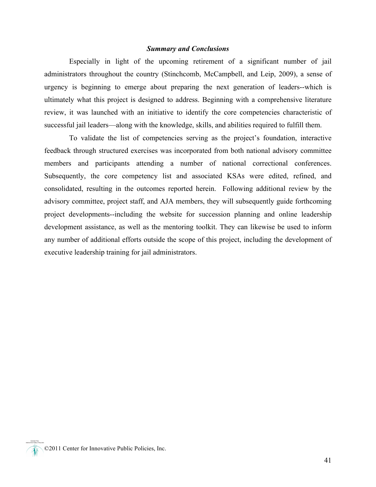#### *Summary and Conclusions*

Especially in light of the upcoming retirement of a significant number of jail administrators throughout the country (Stinchcomb, McCampbell, and Leip, 2009), a sense of urgency is beginning to emerge about preparing the next generation of leaders--which is ultimately what this project is designed to address. Beginning with a comprehensive literature review, it was launched with an initiative to identify the core competencies characteristic of successful jail leaders—along with the knowledge, skills, and abilities required to fulfill them.

To validate the list of competencies serving as the project's foundation, interactive feedback through structured exercises was incorporated from both national advisory committee members and participants attending a number of national correctional conferences. Subsequently, the core competency list and associated KSAs were edited, refined, and consolidated, resulting in the outcomes reported herein. Following additional review by the advisory committee, project staff, and AJA members, they will subsequently guide forthcoming project developments--including the website for succession planning and online leadership development assistance, as well as the mentoring toolkit. They can likewise be used to inform any number of additional efforts outside the scope of this project, including the development of executive leadership training for jail administrators.

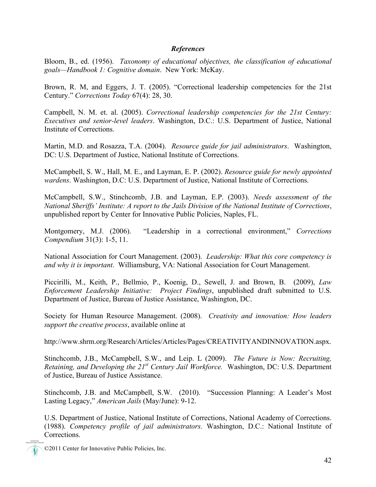#### *References*

Bloom, B., ed. (1956). *Taxonomy of educational objectives, the classification of educational goals—Handbook 1: Cognitive domain*. New York: McKay.

Brown, R. M, and Eggers, J. T. (2005). "Correctional leadership competencies for the 21st Century." *Corrections Today* 67(4): 28, 30.

Campbell, N. M. et. al. (2005). *Correctional leadership competencies for the 21st Century: Executives and senior-level leaders*. Washington, D.C.: U.S. Department of Justice, National Institute of Corrections.

Martin, M.D. and Rosazza, T.A. (2004). *Resource guide for jail administrators*. Washington, DC: U.S. Department of Justice, National Institute of Corrections.

McCampbell, S. W., Hall, M. E., and Layman, E. P. (2002). *Resource guide for newly appointed wardens*. Washington, D.C: U.S. Department of Justice, National Institute of Corrections.

McCampbell, S.W., Stinchcomb, J.B. and Layman, E.P. (2003). *Needs assessment of the National Sheriffs' Institute: A report to the Jails Division of the National Institute of Corrections*, unpublished report by Center for Innovative Public Policies, Naples, FL.

Montgomery, M.J. (2006). "Leadership in a correctional environment," *Corrections Compendium* 31(3): 1-5, 11.

National Association for Court Management. (2003). *Leadership: What this core competency is and why it is important*. Williamsburg, VA: National Association for Court Management.

Piccirilli, M., Keith, P., Bellmio, P., Koenig, D., Sewell, J. and Brown, B. (2009), *Law Enforcement Leadership Initiative: Project Findings*, unpublished draft submitted to U.S. Department of Justice, Bureau of Justice Assistance, Washington, DC.

Society for Human Resource Management. (2008). *Creativity and innovation: How leaders support the creative process*, available online at

http://www.shrm.org/Research/Articles/Articles/Pages/CREATIVITYANDINNOVATION.aspx.

Stinchcomb, J.B., McCampbell, S.W., and Leip. L (2009). *The Future is Now: Recruiting, Retaining, and Developing the 21st Century Jail Workforce.* Washington, DC: U.S. Department of Justice, Bureau of Justice Assistance.

Stinchcomb, J.B. and McCampbell, S.W. (2010). "Succession Planning: A Leader's Most Lasting Legacy," *American Jails* (May/June): 9-12.

U.S. Department of Justice, National Institute of Corrections, National Academy of Corrections. (1988). *Competency profile of jail administrators.* Washington, D.C.: National Institute of Corrections.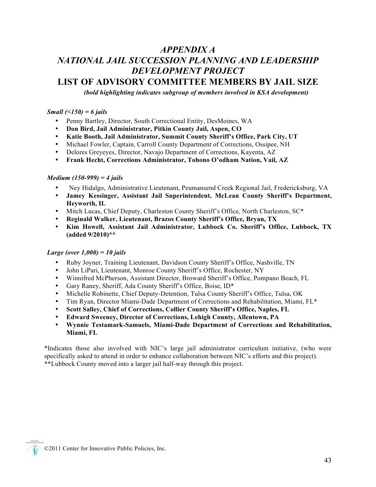## *APPENDIX A NATIONAL JAIL SUCCESSION PLANNING AND LEADERSHIP DEVELOPMENT PROJECT* **LIST OF ADVISORY COMMITTEE MEMBERS BY JAIL SIZE**

*(bold highlighting indicates subgroup of members involved in KSA development)*

#### *Small (<150) = 6 jails*

- Penny Bartley, Director, South Correctional Entity, DesMoines, WA
- **Don Bird, Jail Administrator, Pitkin County Jail, Aspen, CO**
- **Katie Booth, Jail Administrator, Summit County Sheriff's Office, Park City, UT**
- Michael Fowler, Captain, Carroll County Department of Corrections, Ossipee, NH
- Delores Greyeyes, Director, Navajo Department of Corrections, Kayenta, AZ
- **Frank Hecht, Corrections Administrator, Tohono O'odham Nation, Vail, AZ**

#### *Medium (150-999) = 4 jails*

- Ney Hidalgo, Administrative Lieutenant, Peumansend Creek Regional Jail, Fredericksburg, VA
- **Jamey Kessinger, Assistant Jail Superintendent, McLean County Sheriff's Department, Heyworth, IL**
- Mitch Lucas, Chief Deputy, Charleston County Sheriff's Office, North Charleston, SC\*
- **Reginald Walker, Lieutenant, Brazos County Sheriff's Office, Bryan, TX**
- **Kim Howell, Assistant Jail Administrator, Lubbock Co. Sheriff's Office, Lubbock, TX (added 9/2010)\*\***

#### *Large (over 1,000) = 10 jails*

- Ruby Joyner, Training Lieutenant, Davidson County Sheriff's Office, Nashville, TN
- John LiPari, Lieutenant, Monroe County Sheriff's Office, Rochester, NY
- Winnifred McPherson, Assistant Director, Broward Sheriff's Office, Pompano Beach, FL
- Gary Raney, Sheriff, Ada County Sheriff's Office, Boise, ID\*
- Michelle Robinette, Chief Deputy-Detention, Tulsa County Sheriff's Office, Tulsa, OK
- Tim Ryan, Director Miami-Dade Department of Corrections and Rehabilitation, Miami, FL\*
- **Scott Salley, Chief of Corrections, Collier County Sheriff's Office, Naples, FL**
- **Edward Sweeney, Director of Corrections, Lehigh County, Allentown, PA**
- **Wynnie Testamark-Samuels, Miami-Dade Department of Corrections and Rehabilitation, Miami, FL**

\*Indicates those also involved with NIC's large jail administrator curriculum initiative, (who were specifically asked to attend in order to enhance collaboration between NIC's efforts and this project). \*\*Lubbock County moved into a larger jail half-way through this project.

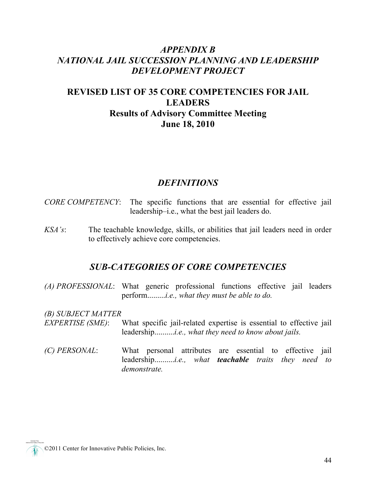## *APPENDIX B NATIONAL JAIL SUCCESSION PLANNING AND LEADERSHIP DEVELOPMENT PROJECT*

## **REVISED LIST OF 35 CORE COMPETENCIES FOR JAIL LEADERS Results of Advisory Committee Meeting June 18, 2010**

#### *DEFINITIONS*

- *CORE COMPETENCY*: The specific functions that are essential for effective jail leadership–i.e., what the best jail leaders do.
- *KSA's*: The teachable knowledge, skills, or abilities that jail leaders need in order to effectively achieve core competencies.

#### *SUB-CATEGORIES OF CORE COMPETENCIES*

*(A) PROFESSIONAL*: What generic professional functions effective jail leaders perform.........*i.e., what they must be able to do.*

*(B) SUBJECT MATTER* 

- *EXPERTISE (SME)*: What specific jail-related expertise is essential to effective jail leadership..........*i.e., what they need to know about jails.*
- *(C) PERSONAL*: What personal attributes are essential to effective jail leadership..........*i.e., what teachable traits they need to demonstrate.*

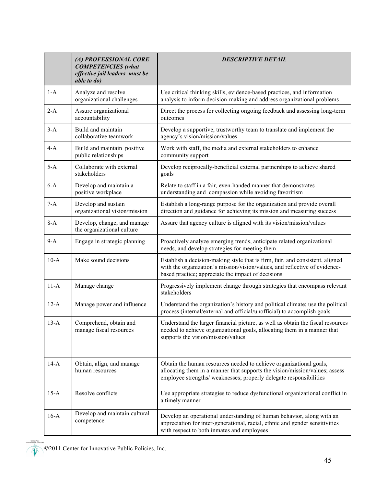|        | (A) PROFESSIONAL CORE<br><b>COMPETENCIES</b> (what<br>effective jail leaders must be<br><i>able to do)</i> | <b>DESCRIPTIVE DETAIL</b>                                                                                                                                                                                               |
|--------|------------------------------------------------------------------------------------------------------------|-------------------------------------------------------------------------------------------------------------------------------------------------------------------------------------------------------------------------|
| $1-A$  | Analyze and resolve<br>organizational challenges                                                           | Use critical thinking skills, evidence-based practices, and information<br>analysis to inform decision-making and address organizational problems                                                                       |
| $2-A$  | Assure organizational<br>accountability                                                                    | Direct the process for collecting ongoing feedback and assessing long-term<br>outcomes                                                                                                                                  |
| $3-A$  | Build and maintain<br>collaborative teamwork                                                               | Develop a supportive, trustworthy team to translate and implement the<br>agency's vision/mission/values                                                                                                                 |
| $4-A$  | Build and maintain positive<br>public relationships                                                        | Work with staff, the media and external stakeholders to enhance<br>community support                                                                                                                                    |
| $5-A$  | Collaborate with external<br>stakeholders                                                                  | Develop reciprocally-beneficial external partnerships to achieve shared<br>goals                                                                                                                                        |
| $6-A$  | Develop and maintain a<br>positive workplace                                                               | Relate to staff in a fair, even-handed manner that demonstrates<br>understanding and compassion while avoiding favoritism                                                                                               |
| $7-A$  | Develop and sustain<br>organizational vision/mission                                                       | Establish a long-range purpose for the organization and provide overall<br>direction and guidance for achieving its mission and measuring success                                                                       |
| $8-A$  | Develop, change, and manage<br>the organizational culture                                                  | Assure that agency culture is aligned with its vision/mission/values                                                                                                                                                    |
| $9-A$  | Engage in strategic planning                                                                               | Proactively analyze emerging trends, anticipate related organizational<br>needs, and develop strategies for meeting them                                                                                                |
| $10-A$ | Make sound decisions                                                                                       | Establish a decision-making style that is firm, fair, and consistent, aligned<br>with the organization's mission/vision/values, and reflective of evidence-<br>based practice; appreciate the impact of decisions       |
| $11-A$ | Manage change                                                                                              | Progressively implement change through strategies that encompass relevant<br>stakeholders                                                                                                                               |
| $12-A$ | Manage power and influence                                                                                 | Understand the organization's history and political climate; use the political<br>process (internal/external and official/unofficial) to accomplish goals                                                               |
| $13-A$ | Comprehend, obtain and<br>manage fiscal resources                                                          | Understand the larger financial picture, as well as obtain the fiscal resources<br>needed to achieve organizational goals, allocating them in a manner that<br>supports the vision/mission/values                       |
| $14-A$ | Obtain, align, and manage<br>human resources                                                               | Obtain the human resources needed to achieve organizational goals,<br>allocating them in a manner that supports the vision/mission/values; assess<br>employee strengths/ weaknesses; properly delegate responsibilities |
| $15-A$ | Resolve conflicts                                                                                          | Use appropriate strategies to reduce dysfunctional organizational conflict in<br>a timely manner                                                                                                                        |
| $16-A$ | Develop and maintain cultural<br>competence                                                                | Develop an operational understanding of human behavior, along with an<br>appreciation for inter-generational, racial, ethnic and gender sensitivities<br>with respect to both inmates and employees                     |

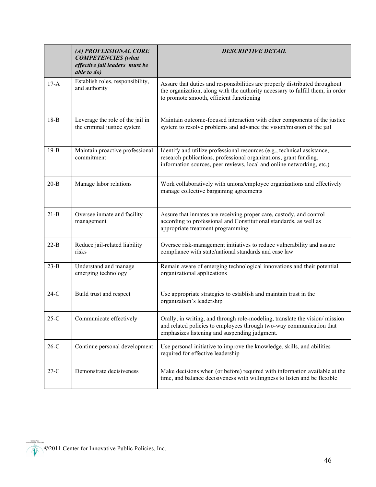|          | (A) PROFESSIONAL CORE<br><b>COMPETENCIES</b> (what<br>effective jail leaders must be<br>able to do) | <b>DESCRIPTIVE DETAIL</b>                                                                                                                                                                                              |
|----------|-----------------------------------------------------------------------------------------------------|------------------------------------------------------------------------------------------------------------------------------------------------------------------------------------------------------------------------|
| $17-A$   | Establish roles, responsibility,<br>and authority                                                   | Assure that duties and responsibilities are properly distributed throughout<br>the organization, along with the authority necessary to fulfill them, in order<br>to promote smooth, efficient functioning              |
| $18-B$   | Leverage the role of the jail in<br>the criminal justice system                                     | Maintain outcome-focused interaction with other components of the justice<br>system to resolve problems and advance the vision/mission of the jail                                                                     |
| $19-B$   | Maintain proactive professional<br>commitment                                                       | Identify and utilize professional resources (e.g., technical assistance,<br>research publications, professional organizations, grant funding,<br>information sources, peer reviews, local and online networking, etc.) |
| $20 - B$ | Manage labor relations                                                                              | Work collaboratively with unions/employee organizations and effectively<br>manage collective bargaining agreements                                                                                                     |
| $21-B$   | Oversee inmate and facility<br>management                                                           | Assure that inmates are receiving proper care, custody, and control<br>according to professional and Constitutional standards, as well as<br>appropriate treatment programming                                         |
| $22-B$   | Reduce jail-related liability<br>risks                                                              | Oversee risk-management initiatives to reduce vulnerability and assure<br>compliance with state/national standards and case law                                                                                        |
| $23-B$   | Understand and manage<br>emerging technology                                                        | Remain aware of emerging technological innovations and their potential<br>organizational applications                                                                                                                  |
| $24-C$   | Build trust and respect                                                                             | Use appropriate strategies to establish and maintain trust in the<br>organization's leadership                                                                                                                         |
| $25-C$   | Communicate effectively                                                                             | Orally, in writing, and through role-modeling, translate the vision/mission<br>and related policies to employees through two-way communication that<br>emphasizes listening and suspending judgment.                   |
| $26-C$   | Continue personal development                                                                       | Use personal initiative to improve the knowledge, skills, and abilities<br>required for effective leadership                                                                                                           |
| $27-C$   | Demonstrate decisiveness                                                                            | Make decisions when (or before) required with information available at the<br>time, and balance decisiveness with willingness to listen and be flexible                                                                |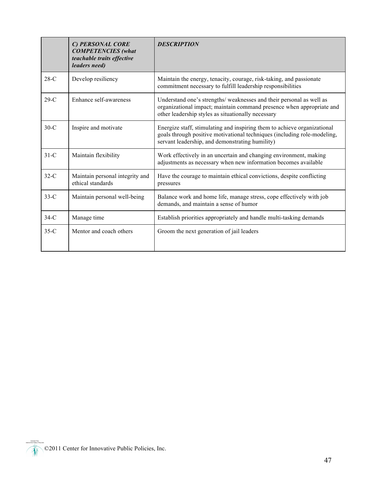|        | C) PERSONAL CORE<br><b>COMPETENCIES</b> (what<br>teachable traits effective<br>leaders need) | <b>DESCRIPTION</b>                                                                                                                                                                                      |
|--------|----------------------------------------------------------------------------------------------|---------------------------------------------------------------------------------------------------------------------------------------------------------------------------------------------------------|
| $28-C$ | Develop resiliency                                                                           | Maintain the energy, tenacity, courage, risk-taking, and passionate<br>commitment necessary to fulfill leadership responsibilities                                                                      |
| $29-C$ | Enhance self-awareness                                                                       | Understand one's strengths/ weaknesses and their personal as well as<br>organizational impact; maintain command presence when appropriate and<br>other leadership styles as situationally necessary     |
| $30-C$ | Inspire and motivate                                                                         | Energize staff, stimulating and inspiring them to achieve organizational<br>goals through positive motivational techniques (including role-modeling,<br>servant leadership, and demonstrating humility) |
| $31-C$ | Maintain flexibility                                                                         | Work effectively in an uncertain and changing environment, making<br>adjustments as necessary when new information becomes available                                                                    |
| $32-C$ | Maintain personal integrity and<br>ethical standards                                         | Have the courage to maintain ethical convictions, despite conflicting<br>pressures                                                                                                                      |
| $33-C$ | Maintain personal well-being                                                                 | Balance work and home life, manage stress, cope effectively with job<br>demands, and maintain a sense of humor                                                                                          |
| $34-C$ | Manage time                                                                                  | Establish priorities appropriately and handle multi-tasking demands                                                                                                                                     |
| $35-C$ | Mentor and coach others                                                                      | Groom the next generation of jail leaders                                                                                                                                                               |

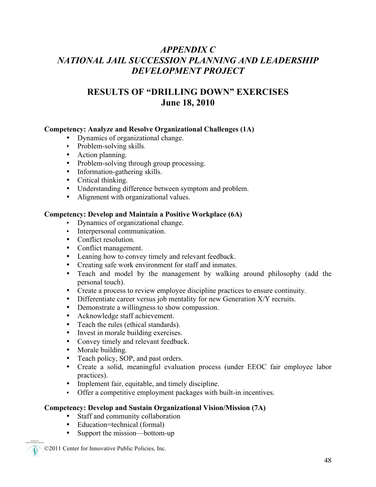## *APPENDIX C NATIONAL JAIL SUCCESSION PLANNING AND LEADERSHIP DEVELOPMENT PROJECT*

## **RESULTS OF "DRILLING DOWN" EXERCISES June 18, 2010**

#### **Competency: Analyze and Resolve Organizational Challenges (1A)**

- Dynamics of organizational change.
- Problem-solving skills.
- Action planning.
- Problem-solving through group processing.
- Information-gathering skills.
- Critical thinking.
- Understanding difference between symptom and problem.
- Alignment with organizational values.

#### **Competency: Develop and Maintain a Positive Workplace (6A)**

- Dynamics of organizational change.
- Interpersonal communication.
- Conflict resolution.
- Conflict management.
- Leaning how to convey timely and relevant feedback.
- Creating safe work environment for staff and inmates.
- Teach and model by the management by walking around philosophy (add the personal touch).
- Create a process to review employee discipline practices to ensure continuity.
- Differentiate career versus job mentality for new Generation X/Y recruits.
- Demonstrate a willingness to show compassion.
- Acknowledge staff achievement.
- Teach the rules (ethical standards).
- Invest in morale building exercises.
- Convey timely and relevant feedback.
- Morale building.
- Teach policy, SOP, and past orders.
- Create a solid, meaningful evaluation process (under EEOC fair employee labor practices).
- Implement fair, equitable, and timely discipline.
- Offer a competitive employment packages with built-in incentives.

#### **Competency: Develop and Sustain Organizational Vision/Mission (7A)**

- Staff and community collaboration
- Education=technical (formal)<br>• Support the mission—bottom-
- Support the mission—bottom-up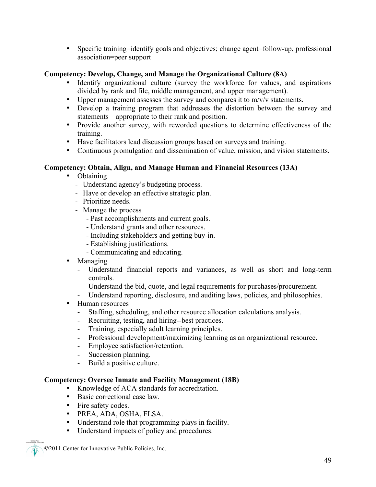• Specific training=identify goals and objectives; change agent=follow-up, professional association=peer support

#### **Competency: Develop, Change, and Manage the Organizational Culture (8A)**

- Identify organizational culture (survey the workforce for values, and aspirations divided by rank and file, middle management, and upper management).
- Upper management assesses the survey and compares it to m/v/v statements.
- Develop a training program that addresses the distortion between the survey and statements—appropriate to their rank and position.
- Provide another survey, with reworded questions to determine effectiveness of the training.
- Have facilitators lead discussion groups based on surveys and training.
- Continuous promulgation and dissemination of value, mission, and vision statements.

#### **Competency: Obtain, Align, and Manage Human and Financial Resources (13A)**

- Obtaining
	- Understand agency's budgeting process.
	- Have or develop an effective strategic plan.
	- Prioritize needs.
	- Manage the process
		- Past accomplishments and current goals.
		- Understand grants and other resources.
		- Including stakeholders and getting buy-in.
		- Establishing justifications.
		- Communicating and educating.
- Managing
	- Understand financial reports and variances, as well as short and long-term controls.
	- Understand the bid, quote, and legal requirements for purchases/procurement.
	- Understand reporting, disclosure, and auditing laws, policies, and philosophies.
- Human resources
	- Staffing, scheduling, and other resource allocation calculations analysis.
	- Recruiting, testing, and hiring--best practices.
	- Training, especially adult learning principles.
	- Professional development/maximizing learning as an organizational resource.
	- Employee satisfaction/retention.
	- Succession planning.
	- Build a positive culture.

#### **Competency: Oversee Inmate and Facility Management (18B)**

- Knowledge of ACA standards for accreditation.
- Basic correctional case law.
- Fire safety codes.
- PREA, ADA, OSHA, FLSA.
- Understand role that programming plays in facility.
- Understand impacts of policy and procedures.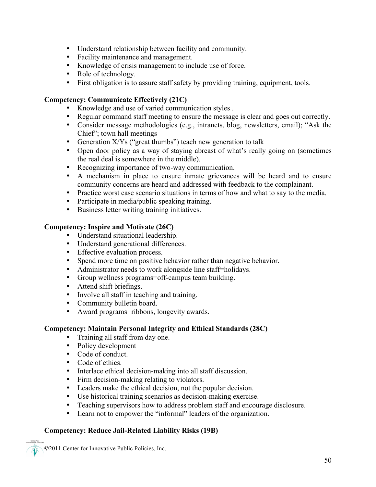- Understand relationship between facility and community.
- Facility maintenance and management.
- Knowledge of crisis management to include use of force.
- Role of technology.
- First obligation is to assure staff safety by providing training, equipment, tools.

#### **Competency: Communicate Effectively (21C)**

- Knowledge and use of varied communication styles .
- Regular command staff meeting to ensure the message is clear and goes out correctly.
- Consider message methodologies (e.g., intranets, blog, newsletters, email); "Ask the Chief"; town hall meetings
- Generation X/Ys ("great thumbs") teach new generation to talk
- Open door policy as a way of staying abreast of what's really going on (sometimes the real deal is somewhere in the middle).
- Recognizing importance of two-way communication.
- A mechanism in place to ensure inmate grievances will be heard and to ensure community concerns are heard and addressed with feedback to the complainant.
- Practice worst case scenario situations in terms of how and what to say to the media.
- Participate in media/public speaking training.
- Business letter writing training initiatives.

#### **Competency: Inspire and Motivate (26C)**

- Understand situational leadership.
- Understand generational differences.
- Effective evaluation process.
- Spend more time on positive behavior rather than negative behavior.
- Administrator needs to work alongside line staff=holidays.
- Group wellness programs=off-campus team building.
- Attend shift briefings.
- Involve all staff in teaching and training.
- Community bulletin board.
- Award programs=ribbons, longevity awards.

#### **Competency: Maintain Personal Integrity and Ethical Standards (28C)**

- Training all staff from day one.
- Policy development
- Code of conduct.
- Code of ethics.
- Interlace ethical decision-making into all staff discussion.
- Firm decision-making relating to violators.
- Leaders make the ethical decision, not the popular decision.
- Use historical training scenarios as decision-making exercise.
- Teaching supervisors how to address problem staff and encourage disclosure.
- Learn not to empower the "informal" leaders of the organization.

#### **Competency: Reduce Jail-Related Liability Risks (19B)**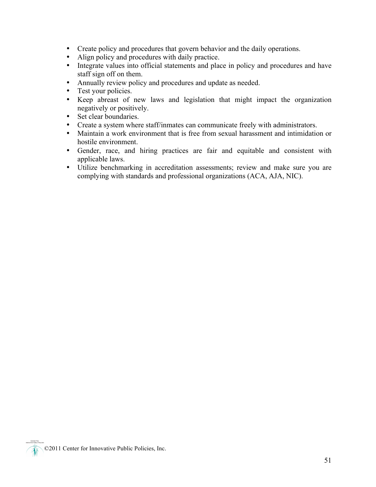- Create policy and procedures that govern behavior and the daily operations.
- Align policy and procedures with daily practice.
- Integrate values into official statements and place in policy and procedures and have staff sign off on them.
- Annually review policy and procedures and update as needed.
- Test your policies.
- Keep abreast of new laws and legislation that might impact the organization negatively or positively.
- Set clear boundaries.
- Create a system where staff/inmates can communicate freely with administrators.
- Maintain a work environment that is free from sexual harassment and intimidation or hostile environment.
- Gender, race, and hiring practices are fair and equitable and consistent with applicable laws.
- Utilize benchmarking in accreditation assessments; review and make sure you are complying with standards and professional organizations (ACA, AJA, NIC).

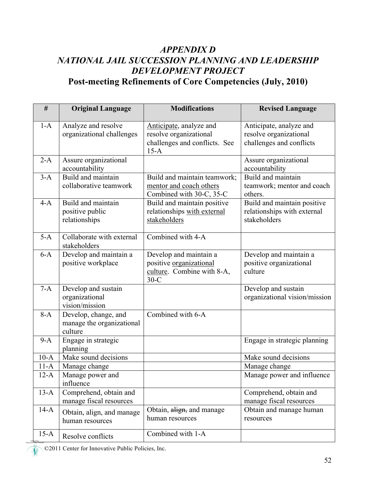## *APPENDIX D NATIONAL JAIL SUCCESSION PLANNING AND LEADERSHIP DEVELOPMENT PROJECT* **Post-meeting Refinements of Core Competencies (July, 2010)**

| $\#$   | <b>Original Language</b>                                     | <b>Modifications</b>                                                                         | <b>Revised Language</b>                                                       |
|--------|--------------------------------------------------------------|----------------------------------------------------------------------------------------------|-------------------------------------------------------------------------------|
| $1-A$  | Analyze and resolve<br>organizational challenges             | Anticipate, analyze and<br>resolve organizational<br>challenges and conflicts. See<br>$15-A$ | Anticipate, analyze and<br>resolve organizational<br>challenges and conflicts |
| $2-A$  | Assure organizational<br>accountability                      |                                                                                              | Assure organizational<br>accountability                                       |
| $3-A$  | Build and maintain<br>collaborative teamwork                 | Build and maintain teamwork;<br>mentor and coach others<br>Combined with 30-C, 35-C          | Build and maintain<br>teamwork; mentor and coach<br>others.                   |
| $4-A$  | Build and maintain<br>positive public<br>relationships       | Build and maintain positive<br>relationships with external<br>stakeholders                   | Build and maintain positive<br>relationships with external<br>stakeholders    |
| $5-A$  | Collaborate with external<br>stakeholders                    | Combined with 4-A                                                                            |                                                                               |
| $6-A$  | Develop and maintain a<br>positive workplace                 | Develop and maintain a<br>positive organizational<br>culture. Combine with 8-A,<br>$30-C$    | Develop and maintain a<br>positive organizational<br>culture                  |
| $7-A$  | Develop and sustain<br>organizational<br>vision/mission      |                                                                                              | Develop and sustain<br>organizational vision/mission                          |
| $8-A$  | Develop, change, and<br>manage the organizational<br>culture | Combined with 6-A                                                                            |                                                                               |
| $9-A$  | Engage in strategic<br>planning                              |                                                                                              | Engage in strategic planning                                                  |
| $10-A$ | Make sound decisions                                         |                                                                                              | Make sound decisions                                                          |
| $11-A$ | Manage change                                                |                                                                                              | Manage change                                                                 |
| $12-A$ | Manage power and<br>influence                                |                                                                                              | Manage power and influence                                                    |
| $13-A$ | Comprehend, obtain and<br>manage fiscal resources            |                                                                                              | Comprehend, obtain and<br>manage fiscal resources                             |
| $14-A$ | Obtain, align, and manage<br>human resources                 | Obtain, align, and manage<br>human resources                                                 | Obtain and manage human<br>resources                                          |
| $15-A$ | Resolve conflicts                                            | Combined with 1-A                                                                            |                                                                               |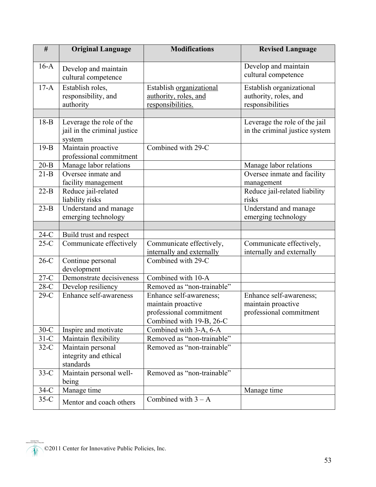| $\#$     | <b>Original Language</b>                                           | <b>Modifications</b>                                                                                 | <b>Revised Language</b>                                                  |
|----------|--------------------------------------------------------------------|------------------------------------------------------------------------------------------------------|--------------------------------------------------------------------------|
| $16-A$   | Develop and maintain<br>cultural competence                        |                                                                                                      | Develop and maintain<br>cultural competence                              |
| $17-A$   | Establish roles,<br>responsibility, and<br>authority               | Establish organizational<br>authority, roles, and<br>responsibilities.                               | Establish organizational<br>authority, roles, and<br>responsibilities    |
|          |                                                                    |                                                                                                      |                                                                          |
| $18-B$   | Leverage the role of the<br>jail in the criminal justice<br>system |                                                                                                      | Leverage the role of the jail<br>in the criminal justice system          |
| $19-B$   | Maintain proactive<br>professional commitment                      | Combined with 29-C                                                                                   |                                                                          |
| $20 - B$ | Manage labor relations                                             |                                                                                                      | Manage labor relations                                                   |
| $21-B$   | Oversee inmate and<br>facility management                          |                                                                                                      | Oversee inmate and facility<br>management                                |
| $22-B$   | Reduce jail-related<br>liability risks                             |                                                                                                      | Reduce jail-related liability<br>risks                                   |
| $23-B$   | Understand and manage<br>emerging technology                       |                                                                                                      | Understand and manage<br>emerging technology                             |
|          |                                                                    |                                                                                                      |                                                                          |
| $24-C$   | Build trust and respect                                            |                                                                                                      |                                                                          |
| $25-C$   | Communicate effectively                                            | Communicate effectively,<br>internally and externally                                                | Communicate effectively,<br>internally and externally                    |
| $26-C$   | Continue personal<br>development                                   | Combined with 29-C                                                                                   |                                                                          |
| $27-C$   | Demonstrate decisiveness                                           | Combined with 10-A                                                                                   |                                                                          |
| $28-C$   | Develop resiliency                                                 | Removed as "non-trainable"                                                                           |                                                                          |
| $29-C$   | Enhance self-awareness                                             | Enhance self-awareness;<br>maintain proactive<br>professional commitment<br>Combined with 19-B, 26-C | Enhance self-awareness;<br>maintain proactive<br>professional commitment |
| $30-C$   | Inspire and motivate                                               | Combined with 3-A, 6-A                                                                               |                                                                          |
| $31-C$   | Maintain flexibility                                               | Removed as "non-trainable"                                                                           |                                                                          |
| $32-C$   | Maintain personal<br>integrity and ethical<br>standards            | Removed as "non-trainable"                                                                           |                                                                          |
| $33-C$   | Maintain personal well-<br>being                                   | Removed as "non-trainable"                                                                           |                                                                          |
| $34-C$   | Manage time                                                        |                                                                                                      | Manage time                                                              |
| $35-C$   | Mentor and coach others                                            | Combined with $3 - A$                                                                                |                                                                          |

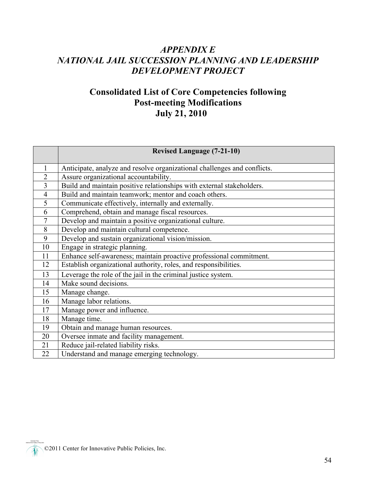## *APPENDIX E NATIONAL JAIL SUCCESSION PLANNING AND LEADERSHIP DEVELOPMENT PROJECT*

## **Consolidated List of Core Competencies following Post-meeting Modifications July 21, 2010**

|                | <b>Revised Language (7-21-10)</b>                                        |  |  |
|----------------|--------------------------------------------------------------------------|--|--|
| $\mathbf{1}$   | Anticipate, analyze and resolve organizational challenges and conflicts. |  |  |
| $\overline{2}$ | Assure organizational accountability.                                    |  |  |
| $\overline{3}$ | Build and maintain positive relationships with external stakeholders.    |  |  |
| $\overline{4}$ | Build and maintain teamwork; mentor and coach others.                    |  |  |
| 5              | Communicate effectively, internally and externally.                      |  |  |
| 6              | Comprehend, obtain and manage fiscal resources.                          |  |  |
| $\tau$         | Develop and maintain a positive organizational culture.                  |  |  |
| 8              | Develop and maintain cultural competence.                                |  |  |
| 9              | Develop and sustain organizational vision/mission.                       |  |  |
| 10             | Engage in strategic planning.                                            |  |  |
| 11             | Enhance self-awareness; maintain proactive professional commitment.      |  |  |
| 12             | Establish organizational authority, roles, and responsibilities.         |  |  |
| 13             | Leverage the role of the jail in the criminal justice system.            |  |  |
| 14             | Make sound decisions.                                                    |  |  |
| 15             | Manage change.                                                           |  |  |
| 16             | Manage labor relations.                                                  |  |  |
| 17             | Manage power and influence.                                              |  |  |
| 18             | Manage time.                                                             |  |  |
| 19             | Obtain and manage human resources.                                       |  |  |
| 20             | Oversee inmate and facility management.                                  |  |  |
| 21             | Reduce jail-related liability risks.                                     |  |  |
| 22             | Understand and manage emerging technology.                               |  |  |

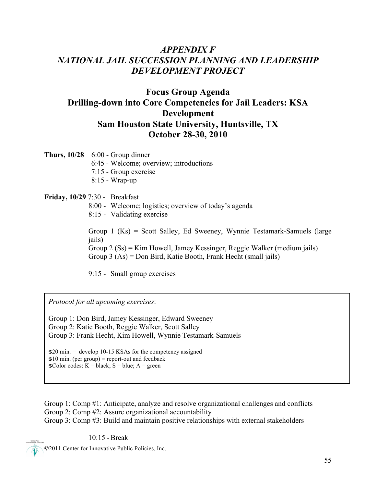## *APPENDIX F NATIONAL JAIL SUCCESSION PLANNING AND LEADERSHIP DEVELOPMENT PROJECT*

## **Focus Group Agenda Drilling-down into Core Competencies for Jail Leaders: KSA Development Sam Houston State University, Huntsville, TX October 28-30, 2010**

**Thurs, 10/28** 6:00 - Group dinner

- 6:45 Welcome; overview; introductions
- 7:15 Group exercise
- 8:15 Wrap-up

#### **Friday, 10/29** 7:30 - Breakfast

- 8:00 Welcome; logistics; overview of today's agenda
- 8:15 Validating exercise

Group 1 (Ks) = Scott Salley, Ed Sweeney, Wynnie Testamark-Samuels (large jails) Group 2 (Ss) = Kim Howell, Jamey Kessinger, Reggie Walker (medium jails) Group 3 (As) = Don Bird, Katie Booth, Frank Hecht (small jails)

9:15 - Small group exercises

*Protocol for all upcoming exercises*:

Group 1: Don Bird, Jamey Kessinger, Edward Sweeney Group 2: Katie Booth, Reggie Walker, Scott Salley Group 3: Frank Hecht, Kim Howell, Wynnie Testamark-Samuels

\$20 min. = develop 10-15 KSAs for the competency assigned  $$10$  min. (per group) = report-out and feedback  $\text{\$Color codes: } K = \text{black; } S = \text{blue; } A = \text{green}$ 

Group 1: Comp #1: Anticipate, analyze and resolve organizational challenges and conflicts Group 2: Comp #2: Assure organizational accountability Group 3: Comp #3: Build and maintain positive relationships with external stakeholders

10:15 -Break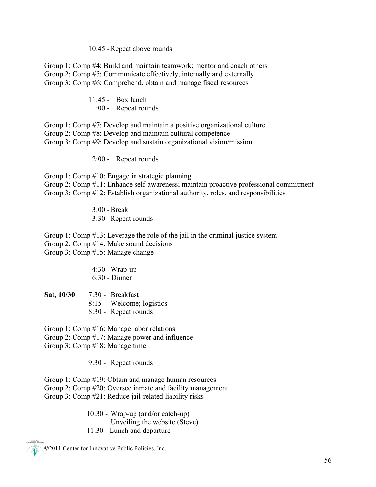#### 10:45 -Repeat above rounds

Group 1: Comp #4: Build and maintain teamwork; mentor and coach others Group 2: Comp #5: Communicate effectively, internally and externally Group 3: Comp #6: Comprehend, obtain and manage fiscal resources

- 11:45 Box lunch
- 1:00 Repeat rounds
- Group 1: Comp #7: Develop and maintain a positive organizational culture
- Group 2: Comp #8: Develop and maintain cultural competence

Group 3: Comp #9: Develop and sustain organizational vision/mission

2:00 - Repeat rounds

Group 1: Comp #10: Engage in strategic planning Group 2: Comp #11: Enhance self-awareness; maintain proactive professional commitment Group 3: Comp #12: Establish organizational authority, roles, and responsibilities

> $3.00$  - Break 3:30 -Repeat rounds

Group 1: Comp #13: Leverage the role of the jail in the criminal justice system Group 2: Comp #14: Make sound decisions Group 3: Comp #15: Manage change

#### 4:30 -Wrap-up 6:30 - Dinner

**Sat, 10/30** 7:30 - Breakfast 8:15 - Welcome; logistics 8:30 - Repeat rounds

Group 1: Comp #16: Manage labor relations

- Group 2: Comp #17: Manage power and influence
- Group 3: Comp #18: Manage time

9:30 - Repeat rounds

Group 1: Comp #19: Obtain and manage human resources Group 2: Comp #20: Oversee inmate and facility management

Group 3: Comp #21: Reduce jail-related liability risks

 10:30 - Wrap-up (and/or catch-up) Unveiling the website (Steve) 11:30 - Lunch and departure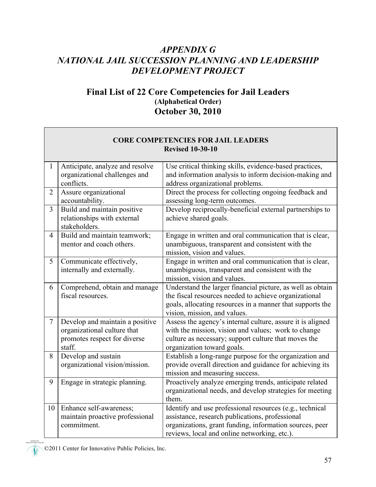## *APPENDIX G NATIONAL JAIL SUCCESSION PLANNING AND LEADERSHIP DEVELOPMENT PROJECT*

## **Final List of 22 Core Competencies for Jail Leaders (Alphabetical Order) October 30, 2010**

| <b>CORE COMPETENCIES FOR JAIL LEADERS</b> |                                                                                                          |                                                                                                                                                                                                                        |  |  |
|-------------------------------------------|----------------------------------------------------------------------------------------------------------|------------------------------------------------------------------------------------------------------------------------------------------------------------------------------------------------------------------------|--|--|
|                                           |                                                                                                          | <b>Revised 10-30-10</b>                                                                                                                                                                                                |  |  |
| $\mathbf{1}$                              | Anticipate, analyze and resolve<br>organizational challenges and<br>conflicts.                           | Use critical thinking skills, evidence-based practices,<br>and information analysis to inform decision-making and<br>address organizational problems.                                                                  |  |  |
| $\overline{2}$                            | Assure organizational<br>accountability.                                                                 | Direct the process for collecting ongoing feedback and<br>assessing long-term outcomes.                                                                                                                                |  |  |
| $\overline{3}$                            | Build and maintain positive<br>relationships with external<br>stakeholders.                              | Develop reciprocally-beneficial external partnerships to<br>achieve shared goals.                                                                                                                                      |  |  |
| $\overline{4}$                            | Build and maintain teamwork;<br>mentor and coach others.                                                 | Engage in written and oral communication that is clear,<br>unambiguous, transparent and consistent with the<br>mission, vision and values.                                                                             |  |  |
| 5                                         | Communicate effectively,<br>internally and externally.                                                   | Engage in written and oral communication that is clear,<br>unambiguous, transparent and consistent with the<br>mission, vision and values.                                                                             |  |  |
| 6                                         | Comprehend, obtain and manage<br>fiscal resources.                                                       | Understand the larger financial picture, as well as obtain<br>the fiscal resources needed to achieve organizational<br>goals, allocating resources in a manner that supports the<br>vision, mission, and values.       |  |  |
| $\tau$                                    | Develop and maintain a positive<br>organizational culture that<br>promotes respect for diverse<br>staff. | Assess the agency's internal culture, assure it is aligned<br>with the mission, vision and values; work to change<br>culture as necessary; support culture that moves the<br>organization toward goals.                |  |  |
| 8                                         | Develop and sustain<br>organizational vision/mission.                                                    | Establish a long-range purpose for the organization and<br>provide overall direction and guidance for achieving its<br>mission and measuring success.                                                                  |  |  |
| 9                                         | Engage in strategic planning.                                                                            | Proactively analyze emerging trends, anticipate related<br>organizational needs, and develop strategies for meeting<br>them.                                                                                           |  |  |
| 10                                        | Enhance self-awareness;<br>maintain proactive professional<br>commitment.                                | Identify and use professional resources (e.g., technical<br>assistance, research publications, professional<br>organizations, grant funding, information sources, peer<br>reviews, local and online networking, etc.). |  |  |

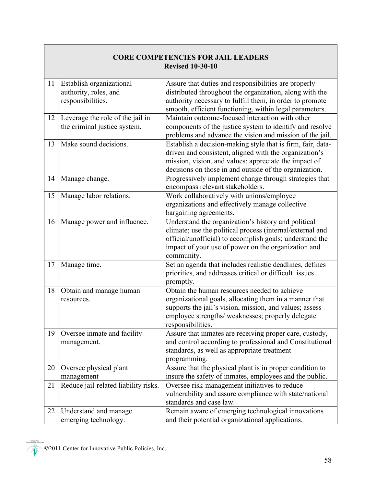| <b>CORE COMPETENCIES FOR JAIL LEADERS</b><br><b>Revised 10-30-10</b> |                                                                        |                                                                                                                                                                                                                                                   |  |  |
|----------------------------------------------------------------------|------------------------------------------------------------------------|---------------------------------------------------------------------------------------------------------------------------------------------------------------------------------------------------------------------------------------------------|--|--|
| 11                                                                   | Establish organizational<br>authority, roles, and<br>responsibilities. | Assure that duties and responsibilities are properly<br>distributed throughout the organization, along with the<br>authority necessary to fulfill them, in order to promote<br>smooth, efficient functioning, within legal parameters.            |  |  |
| 12                                                                   | Leverage the role of the jail in<br>the criminal justice system.       | Maintain outcome-focused interaction with other<br>components of the justice system to identify and resolve<br>problems and advance the vision and mission of the jail.                                                                           |  |  |
| 13                                                                   | Make sound decisions.                                                  | Establish a decision-making style that is firm, fair, data-<br>driven and consistent, aligned with the organization's<br>mission, vision, and values; appreciate the impact of<br>decisions on those in and outside of the organization.          |  |  |
| 14                                                                   | Manage change.                                                         | Progressively implement change through strategies that<br>encompass relevant stakeholders.                                                                                                                                                        |  |  |
| 15                                                                   | Manage labor relations.                                                | Work collaboratively with unions/employee<br>organizations and effectively manage collective<br>bargaining agreements.                                                                                                                            |  |  |
| 16                                                                   | Manage power and influence.                                            | Understand the organization's history and political<br>climate; use the political process (internal/external and<br>official/unofficial) to accomplish goals; understand the<br>impact of your use of power on the organization and<br>community. |  |  |
| 17                                                                   | Manage time.                                                           | Set an agenda that includes realistic deadlines, defines<br>priorities, and addresses critical or difficult issues<br>promptly.                                                                                                                   |  |  |
| 18                                                                   | Obtain and manage human<br>resources.                                  | Obtain the human resources needed to achieve<br>organizational goals, allocating them in a manner that<br>supports the jail's vision, mission, and values; assess<br>employee strengths/ weaknesses; properly delegate<br>responsibilities.       |  |  |
| 19                                                                   | Oversee inmate and facility<br>management.                             | Assure that inmates are receiving proper care, custody,<br>and control according to professional and Constitutional<br>standards, as well as appropriate treatment<br>programming.                                                                |  |  |
| 20                                                                   | Oversee physical plant<br>management                                   | Assure that the physical plant is in proper condition to<br>insure the safety of inmates, employees and the public.                                                                                                                               |  |  |
| 21                                                                   | Reduce jail-related liability risks.                                   | Oversee risk-management initiatives to reduce<br>vulnerability and assure compliance with state/national<br>standards and case law.                                                                                                               |  |  |
| 22                                                                   | Understand and manage<br>emerging technology.                          | Remain aware of emerging technological innovations<br>and their potential organizational applications.                                                                                                                                            |  |  |